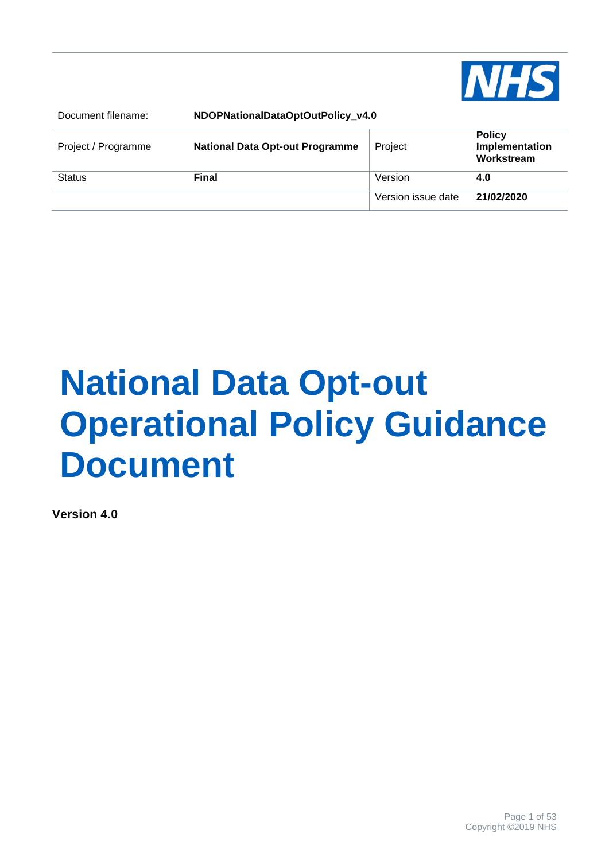

| Document filename:  | NDOPNationalDataOptOutPolicy v4.0      |                    |                                               |
|---------------------|----------------------------------------|--------------------|-----------------------------------------------|
| Project / Programme | <b>National Data Opt-out Programme</b> | Project            | <b>Policy</b><br>Implementation<br>Workstream |
| <b>Status</b>       | <b>Final</b>                           | Version            | 4.0                                           |
|                     |                                        | Version issue date | 21/02/2020                                    |

# **National Data Opt-out Operational Policy Guidance Document**

**Version 4.0**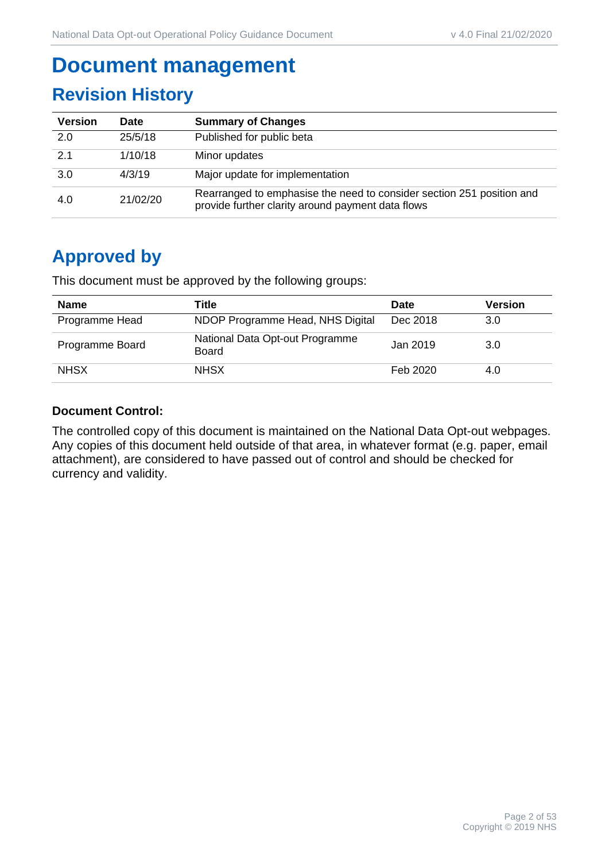# **Document management**

# **Revision History**

| <b>Version</b> | <b>Date</b> | <b>Summary of Changes</b>                                                                                                  |
|----------------|-------------|----------------------------------------------------------------------------------------------------------------------------|
| 2.0            | 25/5/18     | Published for public beta                                                                                                  |
| 21             | 1/10/18     | Minor updates                                                                                                              |
| 3.0            | 4/3/19      | Major update for implementation                                                                                            |
| 4.0            | 21/02/20    | Rearranged to emphasise the need to consider section 251 position and<br>provide further clarity around payment data flows |

# **Approved by**

This document must be approved by the following groups:

| <b>Name</b>     | Title                                           | <b>Date</b> | <b>Version</b> |
|-----------------|-------------------------------------------------|-------------|----------------|
| Programme Head  | NDOP Programme Head, NHS Digital                | Dec 2018    | 3.0            |
| Programme Board | National Data Opt-out Programme<br><b>Board</b> | Jan 2019    | 3.0            |
| <b>NHSX</b>     | <b>NHSX</b>                                     | Feb 2020    | 4.0            |

#### **Document Control:**

The controlled copy of this document is maintained on the National Data Opt-out webpages. Any copies of this document held outside of that area, in whatever format (e.g. paper, email attachment), are considered to have passed out of control and should be checked for currency and validity.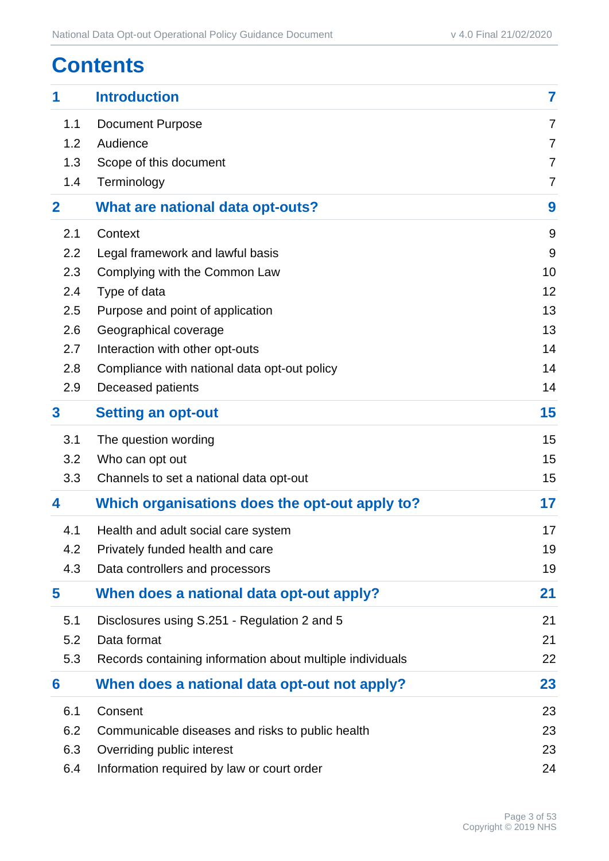# **Contents**

| 1            | <b>Introduction</b>                                       | $\overline{\mathbf{7}}$ |
|--------------|-----------------------------------------------------------|-------------------------|
| 1.1          | <b>Document Purpose</b>                                   | $\overline{7}$          |
| 1.2          | Audience                                                  | $\overline{7}$          |
| 1.3          | Scope of this document                                    | $\overline{7}$          |
| 1.4          | Terminology                                               | $\overline{7}$          |
| $\mathbf{2}$ | What are national data opt-outs?                          | 9                       |
| 2.1          | Context                                                   | 9                       |
| 2.2          | Legal framework and lawful basis                          | 9                       |
| 2.3          | Complying with the Common Law                             | 10                      |
| 2.4          | Type of data                                              | 12                      |
| 2.5          | Purpose and point of application                          | 13                      |
| 2.6          | Geographical coverage                                     | 13                      |
| 2.7          | Interaction with other opt-outs                           | 14                      |
| 2.8          | Compliance with national data opt-out policy              | 14                      |
| 2.9          | Deceased patients                                         | 14                      |
| $\mathbf{3}$ | <b>Setting an opt-out</b>                                 | 15                      |
| 3.1          | The question wording                                      | 15                      |
| 3.2          | Who can opt out                                           | 15                      |
| 3.3          | Channels to set a national data opt-out                   | 15                      |
| 4            | Which organisations does the opt-out apply to?            | 17                      |
| 4.1          | Health and adult social care system                       | 17                      |
| 4.2          | Privately funded health and care                          | 19                      |
| 4.3          | Data controllers and processors                           | 19                      |
| 5            | When does a national data opt-out apply?                  | 21                      |
| 5.1          | Disclosures using S.251 - Regulation 2 and 5              | 21                      |
| 5.2          | Data format                                               | 21                      |
| 5.3          | Records containing information about multiple individuals | 22                      |
| 6            | When does a national data opt-out not apply?              | 23                      |
| 6.1          | Consent                                                   | 23                      |
| 6.2          | Communicable diseases and risks to public health          | 23                      |
| 6.3          | Overriding public interest                                | 23                      |
| 6.4          | Information required by law or court order                | 24                      |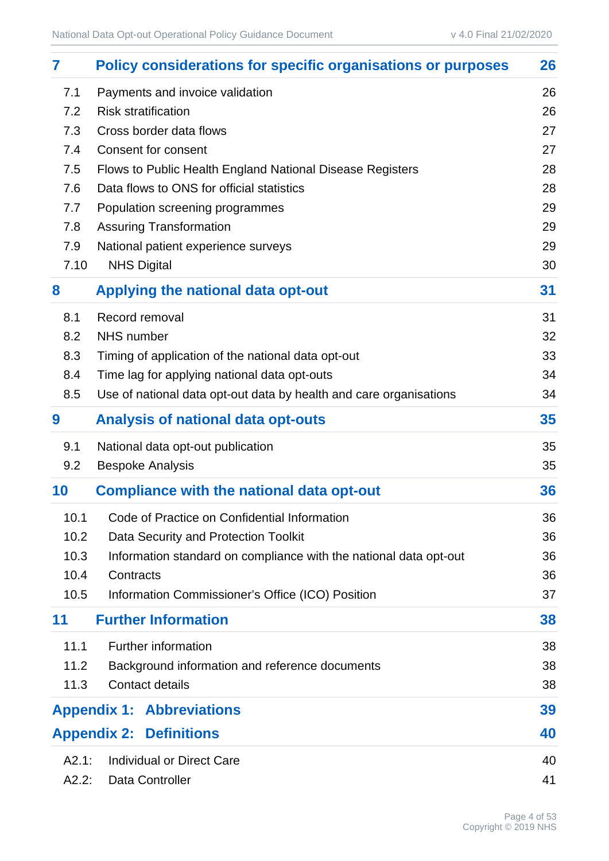| 7     | <b>Policy considerations for specific organisations or purposes</b> | 26 |
|-------|---------------------------------------------------------------------|----|
| 7.1   | Payments and invoice validation                                     | 26 |
| 7.2   | <b>Risk stratification</b>                                          | 26 |
| 7.3   | Cross border data flows                                             | 27 |
| 7.4   | Consent for consent                                                 | 27 |
| 7.5   | Flows to Public Health England National Disease Registers           | 28 |
| 7.6   | Data flows to ONS for official statistics                           | 28 |
| 7.7   | Population screening programmes                                     | 29 |
| 7.8   | <b>Assuring Transformation</b>                                      | 29 |
| 7.9   | National patient experience surveys                                 | 29 |
| 7.10  | <b>NHS Digital</b>                                                  | 30 |
| 8     | Applying the national data opt-out                                  | 31 |
| 8.1   | Record removal                                                      | 31 |
| 8.2   | <b>NHS</b> number                                                   | 32 |
| 8.3   | Timing of application of the national data opt-out                  | 33 |
| 8.4   | Time lag for applying national data opt-outs                        | 34 |
| 8.5   | Use of national data opt-out data by health and care organisations  | 34 |
| 9     | <b>Analysis of national data opt-outs</b>                           | 35 |
| 9.1   | National data opt-out publication                                   | 35 |
| 9.2   | <b>Bespoke Analysis</b>                                             | 35 |
| 10    | <b>Compliance with the national data opt-out</b>                    | 36 |
| 10.1  | Code of Practice on Confidential Information                        | 36 |
| 10.2  | Data Security and Protection Toolkit                                | 36 |
| 10.3  | Information standard on compliance with the national data opt-out   | 36 |
| 10.4  | Contracts                                                           | 36 |
| 10.5  | Information Commissioner's Office (ICO) Position                    | 37 |
| 11    | <b>Further Information</b>                                          | 38 |
| 11.1  | <b>Further information</b>                                          | 38 |
| 11.2  | Background information and reference documents                      | 38 |
| 11.3  | <b>Contact details</b>                                              | 38 |
|       | <b>Appendix 1: Abbreviations</b>                                    | 39 |
|       | <b>Appendix 2: Definitions</b>                                      | 40 |
| A2.1: | <b>Individual or Direct Care</b>                                    | 40 |
| A2.2: | Data Controller                                                     | 41 |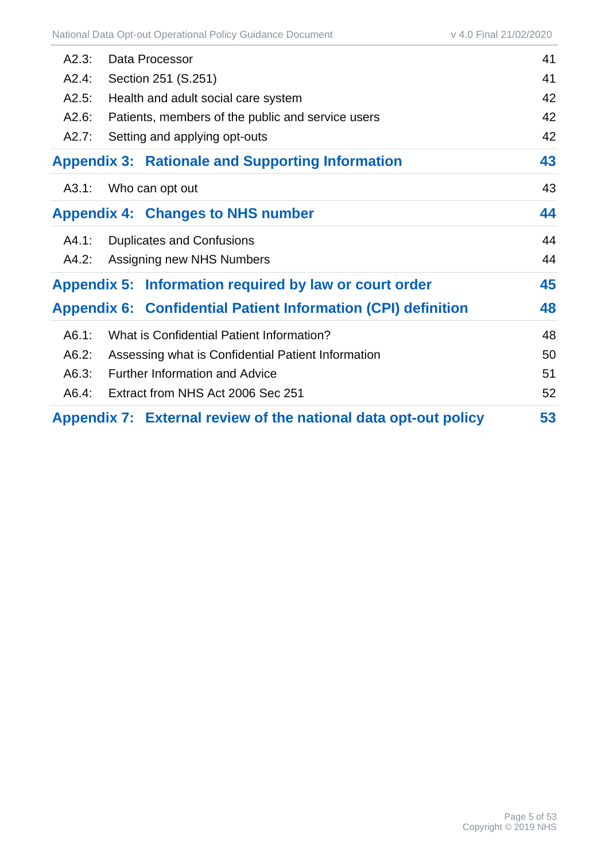| A2.3: | Data Processor                                                  | 41 |
|-------|-----------------------------------------------------------------|----|
| A2.4: | Section 251 (S.251)                                             |    |
| A2.5: | Health and adult social care system                             | 42 |
| A2.6: | Patients, members of the public and service users               | 42 |
| A2.7: | Setting and applying opt-outs                                   | 42 |
|       | <b>Appendix 3: Rationale and Supporting Information</b>         | 43 |
| A3.1: | Who can opt out                                                 | 43 |
|       | <b>Appendix 4: Changes to NHS number</b>                        | 44 |
| A4.1: | <b>Duplicates and Confusions</b>                                | 44 |
| A4.2: | Assigning new NHS Numbers                                       | 44 |
|       | Appendix 5: Information required by law or court order          | 45 |
|       | Appendix 6: Confidential Patient Information (CPI) definition   | 48 |
| A6.1: | What is Confidential Patient Information?                       | 48 |
| A6.2: | Assessing what is Confidential Patient Information              | 50 |
| A6.3: | <b>Further Information and Advice</b>                           | 51 |
| A6.4: | Extract from NHS Act 2006 Sec 251                               | 52 |
|       | Appendix 7: External review of the national data opt-out policy | 53 |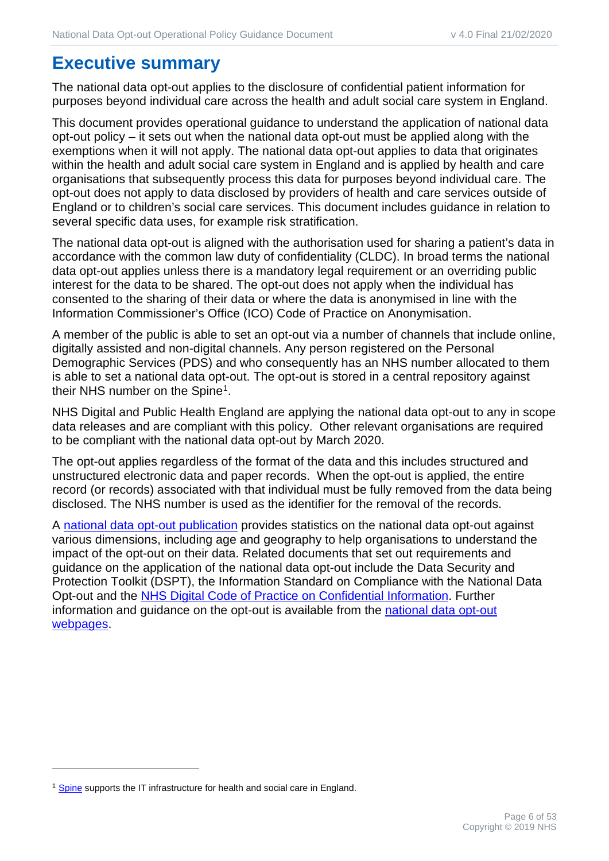# **Executive summary**

The national data opt-out applies to the disclosure of confidential patient information for purposes beyond individual care across the health and adult social care system in England.

This document provides operational guidance to understand the application of national data opt-out policy – it sets out when the national data opt-out must be applied along with the exemptions when it will not apply. The national data opt-out applies to data that originates within the health and adult social care system in England and is applied by health and care organisations that subsequently process this data for purposes beyond individual care. The opt-out does not apply to data disclosed by providers of health and care services outside of England or to children's social care services. This document includes guidance in relation to several specific data uses, for example risk stratification.

The national data opt-out is aligned with the authorisation used for sharing a patient's data in accordance with the common law duty of confidentiality (CLDC). In broad terms the national data opt-out applies unless there is a mandatory legal requirement or an overriding public interest for the data to be shared. The opt-out does not apply when the individual has consented to the sharing of their data or where the data is anonymised in line with the Information Commissioner's Office (ICO) Code of Practice on Anonymisation.

A member of the public is able to set an opt-out via a number of channels that include online, digitally assisted and non-digital channels. Any person registered on the Personal Demographic Services (PDS) and who consequently has an NHS number allocated to them is able to set a national data opt-out. The opt-out is stored in a central repository against their NHS number on the Spine[1.](#page-5-0)

NHS Digital and Public Health England are applying the national data opt-out to any in scope data releases and are compliant with this policy. Other relevant organisations are required to be compliant with the national data opt-out by March 2020.

The opt-out applies regardless of the format of the data and this includes structured and unstructured electronic data and paper records. When the opt-out is applied, the entire record (or records) associated with that individual must be fully removed from the data being disclosed. The NHS number is used as the identifier for the removal of the records.

A [national data opt-out publication](https://digital.nhs.uk/data-and-information/publications/statistical/national-data-opt-out) provides statistics on the national data opt-out against various dimensions, including age and geography to help organisations to understand the impact of the opt-out on their data. Related documents that set out requirements and guidance on the application of the national data opt-out include the Data Security and Protection Toolkit (DSPT), the Information Standard on Compliance with the National Data Opt-out and the [NHS Digital Code of Practice on Confidential Information.](https://digital.nhs.uk/data-and-information/looking-after-information/data-security-and-information-governance/codes-of-practice-for-handling-information-in-health-and-care/code-of-practice-on-confidential-information) Further information and guidance on the opt-out is available from the [national data opt-out](https://digital.nhs.uk/national-data-opt-out)  [webpages.](https://digital.nhs.uk/national-data-opt-out)

<span id="page-5-0"></span><sup>&</sup>lt;sup>1</sup> [Spine](https://digital.nhs.uk/spine) supports the IT infrastructure for health and social care in England.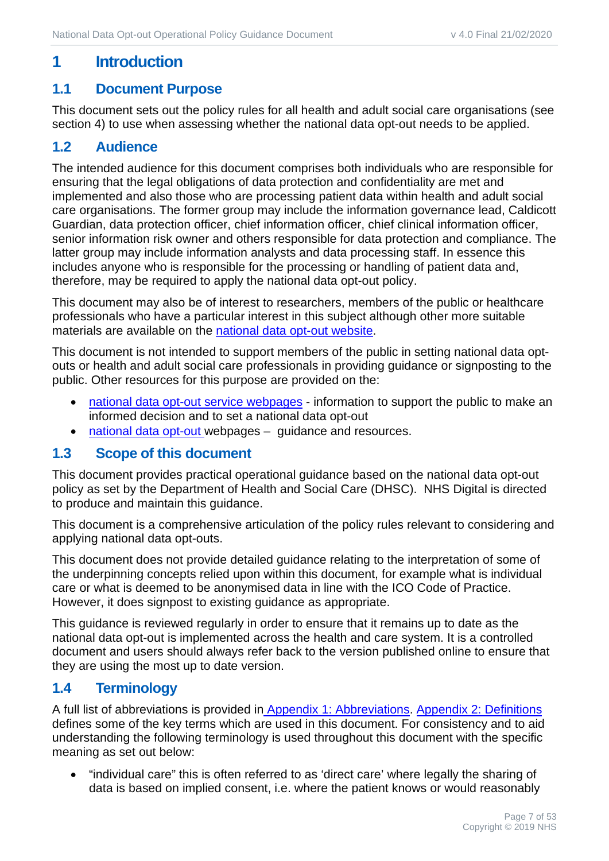# <span id="page-6-0"></span>**1 Introduction**

#### <span id="page-6-1"></span>**1.1 Document Purpose**

This document sets out the policy rules for all health and adult social care organisations (see section 4) to use when assessing whether the national data opt-out needs to be applied.

#### <span id="page-6-2"></span>**1.2 Audience**

The intended audience for this document comprises both individuals who are responsible for ensuring that the legal obligations of data protection and confidentiality are met and implemented and also those who are processing patient data within health and adult social care organisations. The former group may include the information governance lead, Caldicott Guardian, data protection officer, chief information officer, chief clinical information officer, senior information risk owner and others responsible for data protection and compliance. The latter group may include information analysts and data processing staff. In essence this includes anyone who is responsible for the processing or handling of patient data and, therefore, may be required to apply the national data opt-out policy.

This document may also be of interest to researchers, members of the public or healthcare professionals who have a particular interest in this subject although other more suitable materials are available on the [national data opt-out website.](https://digital.nhs.uk/services/national-data-opt-out-programme)

This document is not intended to support members of the public in setting national data optouts or health and adult social care professionals in providing guidance or signposting to the public. Other resources for this purpose are provided on the:

- [national data opt-out service](http://www.nhs.uk/your-nhs-data-matters) webpages information to support the public to make an informed decision and to set a national data opt-out
- [national data opt-out](https://digital.nhs.uk/national-data-opt-out) webpages quidance and resources.

#### <span id="page-6-3"></span>**1.3 Scope of this document**

This document provides practical operational guidance based on the national data opt-out policy as set by the Department of Health and Social Care (DHSC). NHS Digital is directed to produce and maintain this guidance.

This document is a comprehensive articulation of the policy rules relevant to considering and applying national data opt-outs.

This document does not provide detailed guidance relating to the interpretation of some of the underpinning concepts relied upon within this document, for example what is individual care or what is deemed to be anonymised data in line with the ICO Code of Practice. However, it does signpost to existing guidance as appropriate.

This guidance is reviewed regularly in order to ensure that it remains up to date as the national data opt-out is implemented across the health and care system. It is a controlled document and users should always refer back to the version published online to ensure that they are using the most up to date version.

## <span id="page-6-4"></span>**1.4 Terminology**

A full list of abbreviations is provided in [Appendix 1:](#page-38-0) [Abbreviations.](#page-38-0) [Appendix 2:](#page-39-0) [Definitions](#page-39-0) defines some of the key terms which are used in this document. For consistency and to aid understanding the following terminology is used throughout this document with the specific meaning as set out below:

• "individual care" this is often referred to as 'direct care' where legally the sharing of data is based on implied consent, i.e. where the patient knows or would reasonably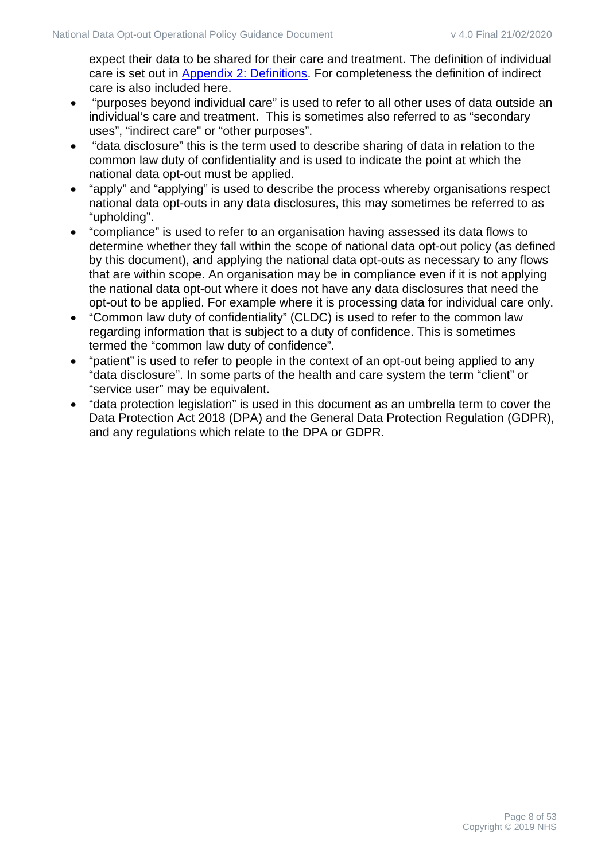expect their data to be shared for their care and treatment. The definition of individual care is set out in [Appendix 2:](#page-39-0) [Definitions.](#page-39-0) For completeness the definition of indirect care is also included here.

- "purposes beyond individual care" is used to refer to all other uses of data outside an individual's care and treatment. This is sometimes also referred to as "secondary uses", "indirect care" or "other purposes".
- "data disclosure" this is the term used to describe sharing of data in relation to the common law duty of confidentiality and is used to indicate the point at which the national data opt-out must be applied.
- "apply" and "applying" is used to describe the process whereby organisations respect national data opt-outs in any data disclosures, this may sometimes be referred to as "upholding".
- "compliance" is used to refer to an organisation having assessed its data flows to determine whether they fall within the scope of national data opt-out policy (as defined by this document), and applying the national data opt-outs as necessary to any flows that are within scope. An organisation may be in compliance even if it is not applying the national data opt-out where it does not have any data disclosures that need the opt-out to be applied. For example where it is processing data for individual care only.
- "Common law duty of confidentiality" (CLDC) is used to refer to the common law regarding information that is subject to a duty of confidence. This is sometimes termed the "common law duty of confidence".
- "patient" is used to refer to people in the context of an opt-out being applied to any "data disclosure". In some parts of the health and care system the term "client" or "service user" may be equivalent.
- "data protection legislation" is used in this document as an umbrella term to cover the Data Protection Act 2018 (DPA) and the General Data Protection Regulation (GDPR), and any regulations which relate to the DPA or GDPR.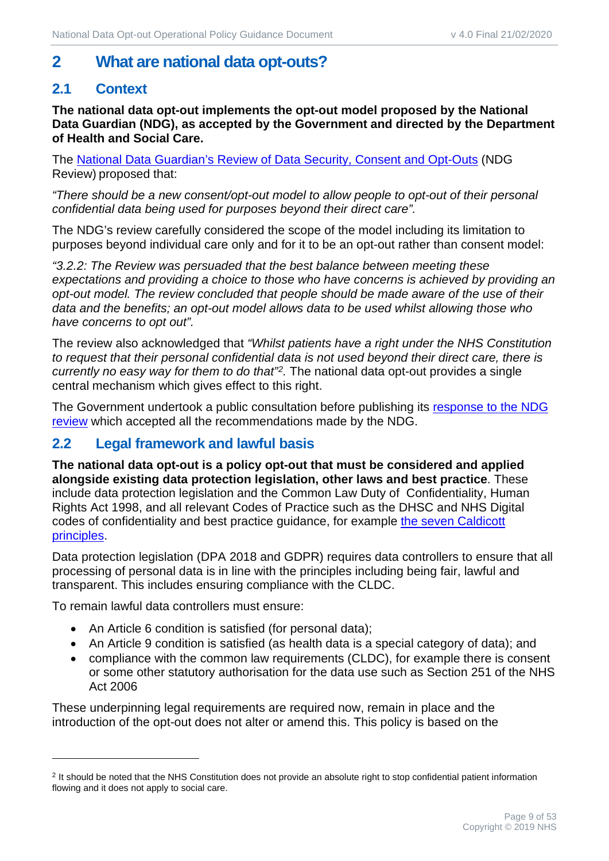# <span id="page-8-0"></span>**2 What are national data opt-outs?**

# <span id="page-8-1"></span>**2.1 Context**

**The national data opt-out implements the opt-out model proposed by the National Data Guardian (NDG), as accepted by the Government and directed by the Department of Health and Social Care.**

The [National Data Guardian's Review of Data Security, Consent and Opt-Outs](https://www.gov.uk/government/uploads/system/uploads/attachment_data/file/535024/data-security-review.PDF) (NDG Review) proposed that:

*"There should be a new consent/opt-out model to allow people to opt-out of their personal confidential data being used for purposes beyond their direct care".* 

The NDG's review carefully considered the scope of the model including its limitation to purposes beyond individual care only and for it to be an opt-out rather than consent model:

*"3.2.2: The Review was persuaded that the best balance between meeting these expectations and providing a choice to those who have concerns is achieved by providing an opt-out model. The review concluded that people should be made aware of the use of their data and the benefits; an opt-out model allows data to be used whilst allowing those who have concerns to opt out".* 

The review also acknowledged that *"Whilst patients have a right under the NHS Constitution to request that their personal confidential data is not used beyond their direct care, there is currently no easy way for them to do that"[2.](#page-8-3)* The national data opt-out provides a single central mechanism which gives effect to this right.

The Government undertook a public consultation before publishing its response to the NDG [review](http://qna.files.parliament.uk/ws-attachments/750622/original/FINAL-3_Govt_Response_NDG_Review_WEB_compressed.pdf) which accepted all the recommendations made by the NDG.

## <span id="page-8-2"></span>**2.2 Legal framework and lawful basis**

**The national data opt-out is a policy opt-out that must be considered and applied alongside existing data protection legislation, other laws and best practice**. These include data protection legislation and the Common Law Duty of Confidentiality, Human Rights Act 1998, and all relevant Codes of Practice such as the DHSC and NHS Digital codes of confidentiality and best practice guidance, for example [the seven Caldicott](https://www.gov.uk/government/uploads/system/uploads/attachment_data/file/192572/2900774_InfoGovernance_accv2.pdf)  [principles.](https://www.gov.uk/government/uploads/system/uploads/attachment_data/file/192572/2900774_InfoGovernance_accv2.pdf)

Data protection legislation (DPA 2018 and GDPR) requires data controllers to ensure that all processing of personal data is in line with the principles including being fair, lawful and transparent. This includes ensuring compliance with the CLDC.

To remain lawful data controllers must ensure:

- An Article 6 condition is satisfied (for personal data);
- An Article 9 condition is satisfied (as health data is a special category of data); and
- compliance with the common law requirements (CLDC), for example there is consent or some other statutory authorisation for the data use such as Section 251 of the NHS Act 2006

These underpinning legal requirements are required now, remain in place and the introduction of the opt-out does not alter or amend this. This policy is based on the

<span id="page-8-3"></span><sup>&</sup>lt;sup>2</sup> It should be noted that the NHS Constitution does not provide an absolute right to stop confidential patient information flowing and it does not apply to social care.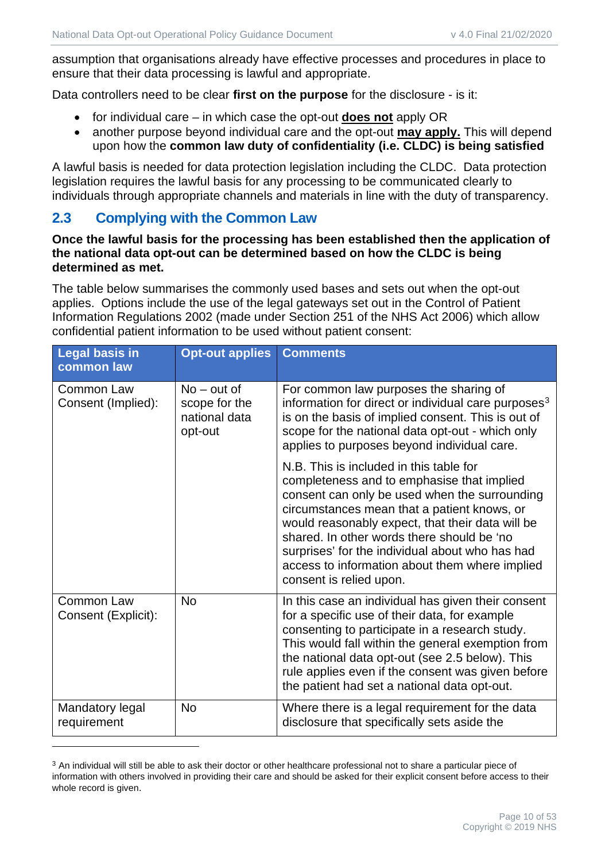assumption that organisations already have effective processes and procedures in place to ensure that their data processing is lawful and appropriate.

Data controllers need to be clear **first on the purpose** for the disclosure - is it:

- for individual care in which case the opt-out **does not** apply OR
- another purpose beyond individual care and the opt-out **may apply.** This will depend upon how the **common law duty of confidentiality (i.e. CLDC) is being satisfied**

A lawful basis is needed for data protection legislation including the CLDC. Data protection legislation requires the lawful basis for any processing to be communicated clearly to individuals through appropriate channels and materials in line with the duty of transparency.

#### <span id="page-9-0"></span>**2.3 Complying with the Common Law**

#### **Once the lawful basis for the processing has been established then the application of the national data opt-out can be determined based on how the CLDC is being determined as met.**

The table below summarises the commonly used bases and sets out when the opt-out applies. Options include the use of the legal gateways set out in the Control of Patient Information Regulations 2002 (made under Section 251 of the NHS Act 2006) which allow confidential patient information to be used without patient consent:

| <b>Legal basis in</b><br>common law | <b>Opt-out applies</b>                                     | <b>Comments</b>                                                                                                                                                                                                                                                                                                                                                                                                         |
|-------------------------------------|------------------------------------------------------------|-------------------------------------------------------------------------------------------------------------------------------------------------------------------------------------------------------------------------------------------------------------------------------------------------------------------------------------------------------------------------------------------------------------------------|
| Common Law<br>Consent (Implied):    | $No - out of$<br>scope for the<br>national data<br>opt-out | For common law purposes the sharing of<br>information for direct or individual care purposes <sup>3</sup><br>is on the basis of implied consent. This is out of<br>scope for the national data opt-out - which only<br>applies to purposes beyond individual care.                                                                                                                                                      |
|                                     |                                                            | N.B. This is included in this table for<br>completeness and to emphasise that implied<br>consent can only be used when the surrounding<br>circumstances mean that a patient knows, or<br>would reasonably expect, that their data will be<br>shared. In other words there should be 'no<br>surprises' for the individual about who has had<br>access to information about them where implied<br>consent is relied upon. |
| Common Law<br>Consent (Explicit):   | <b>No</b>                                                  | In this case an individual has given their consent<br>for a specific use of their data, for example<br>consenting to participate in a research study.<br>This would fall within the general exemption from<br>the national data opt-out (see 2.5 below). This<br>rule applies even if the consent was given before<br>the patient had set a national data opt-out.                                                      |
| Mandatory legal<br>requirement      | No                                                         | Where there is a legal requirement for the data<br>disclosure that specifically sets aside the                                                                                                                                                                                                                                                                                                                          |

<span id="page-9-1"></span><sup>&</sup>lt;sup>3</sup> An individual will still be able to ask their doctor or other healthcare professional not to share a particular piece of information with others involved in providing their care and should be asked for their explicit consent before access to their whole record is given.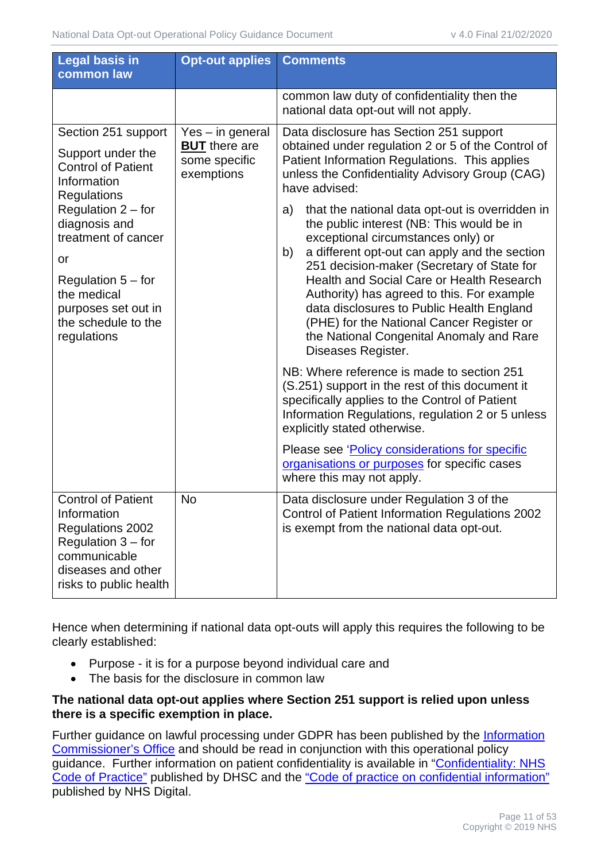| <b>Legal basis in</b><br>common law                                                                                                                                                                                                                                                                                                                             | <b>Opt-out applies</b>                                                                                                                                                                                                                                                                                                                                                                                                                                                                                      | <b>Comments</b>                                                                                                                                                                                                                      |
|-----------------------------------------------------------------------------------------------------------------------------------------------------------------------------------------------------------------------------------------------------------------------------------------------------------------------------------------------------------------|-------------------------------------------------------------------------------------------------------------------------------------------------------------------------------------------------------------------------------------------------------------------------------------------------------------------------------------------------------------------------------------------------------------------------------------------------------------------------------------------------------------|--------------------------------------------------------------------------------------------------------------------------------------------------------------------------------------------------------------------------------------|
|                                                                                                                                                                                                                                                                                                                                                                 |                                                                                                                                                                                                                                                                                                                                                                                                                                                                                                             | common law duty of confidentiality then the<br>national data opt-out will not apply.                                                                                                                                                 |
| Section 251 support<br>Yes - in general<br><b>BUT</b> there are<br>Support under the<br>some specific<br><b>Control of Patient</b><br>exemptions<br>Information<br><b>Regulations</b><br>Regulation $2$ – for<br>diagnosis and<br>treatment of cancer<br>or<br>Regulation $5 -$ for<br>the medical<br>purposes set out in<br>the schedule to the<br>regulations |                                                                                                                                                                                                                                                                                                                                                                                                                                                                                                             | Data disclosure has Section 251 support<br>obtained under regulation 2 or 5 of the Control of<br>Patient Information Regulations. This applies<br>unless the Confidentiality Advisory Group (CAG)<br>have advised:                   |
|                                                                                                                                                                                                                                                                                                                                                                 | that the national data opt-out is overridden in<br>a)<br>the public interest (NB: This would be in<br>exceptional circumstances only) or<br>a different opt-out can apply and the section<br>b)<br>251 decision-maker (Secretary of State for<br><b>Health and Social Care or Health Research</b><br>Authority) has agreed to this. For example<br>data disclosures to Public Health England<br>(PHE) for the National Cancer Register or<br>the National Congenital Anomaly and Rare<br>Diseases Register. |                                                                                                                                                                                                                                      |
|                                                                                                                                                                                                                                                                                                                                                                 |                                                                                                                                                                                                                                                                                                                                                                                                                                                                                                             | NB: Where reference is made to section 251<br>(S.251) support in the rest of this document it<br>specifically applies to the Control of Patient<br>Information Regulations, regulation 2 or 5 unless<br>explicitly stated otherwise. |
|                                                                                                                                                                                                                                                                                                                                                                 |                                                                                                                                                                                                                                                                                                                                                                                                                                                                                                             | Please see 'Policy considerations for specific<br>organisations or purposes for specific cases<br>where this may not apply.                                                                                                          |
| <b>Control of Patient</b><br>Information<br>Regulations 2002<br>Regulation $3$ – for<br>communicable<br>diseases and other<br>risks to public health                                                                                                                                                                                                            | <b>No</b>                                                                                                                                                                                                                                                                                                                                                                                                                                                                                                   | Data disclosure under Regulation 3 of the<br>Control of Patient Information Regulations 2002<br>is exempt from the national data opt-out.                                                                                            |

Hence when determining if national data opt-outs will apply this requires the following to be clearly established:

- Purpose it is for a purpose beyond individual care and
- The basis for the disclosure in common law

#### **The national data opt-out applies where Section 251 support is relied upon unless there is a specific exemption in place.**

Further guidance on lawful processing under GDPR has been published by the [Information](https://ico.org.uk/for-organisations/guide-to-data-protection/guide-to-the-general-data-protection-regulation-gdpr/)  [Commissioner's Office](https://ico.org.uk/for-organisations/guide-to-data-protection/guide-to-the-general-data-protection-regulation-gdpr/) and should be read in conjunction with this operational policy guidance. Further information on patient confidentiality is available in ["Confidentiality: NHS](https://www.gov.uk/government/publications/confidentiality-nhs-code-of-practice)  [Code of Practice"](https://www.gov.uk/government/publications/confidentiality-nhs-code-of-practice) published by DHSC and the ["Code of practice on confidential information"](https://digital.nhs.uk/data-and-information/looking-after-information/data-security-and-information-governance/codes-of-practice-for-handling-information-in-health-and-care) published by NHS Digital.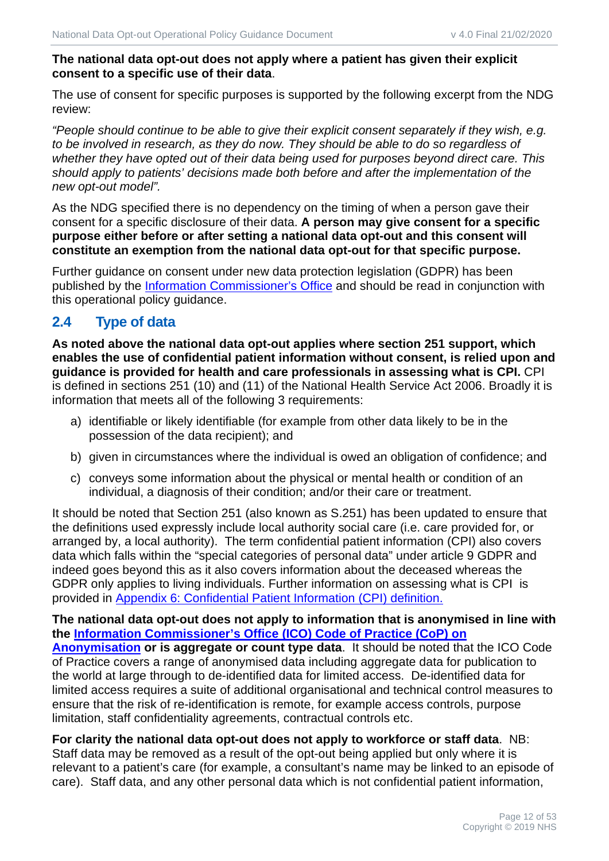#### **The national data opt-out does not apply where a patient has given their explicit consent to a specific use of their data**.

The use of consent for specific purposes is supported by the following excerpt from the NDG review:

*"People should continue to be able to give their explicit consent separately if they wish, e.g. to be involved in research, as they do now. They should be able to do so regardless of whether they have opted out of their data being used for purposes beyond direct care. This should apply to patients' decisions made both before and after the implementation of the new opt-out model".*

As the NDG specified there is no dependency on the timing of when a person gave their consent for a specific disclosure of their data. **A person may give consent for a specific purpose either before or after setting a national data opt-out and this consent will constitute an exemption from the national data opt-out for that specific purpose.**

Further guidance on consent under new data protection legislation (GDPR) has been published by the *[Information Commissioner's Office](https://ico.org.uk/for-organisations/guide-to-data-protection/guide-to-the-general-data-protection-regulation-gdpr/)* and should be read in conjunction with this operational policy guidance.

# <span id="page-11-0"></span>**2.4 Type of data**

**As noted above the national data opt-out applies where section 251 support, which enables the use of confidential patient information without consent, is relied upon and guidance is provided for health and care professionals in assessing what is CPI.** CPI is defined in sections 251 (10) and (11) of the National Health Service Act 2006. Broadly it is information that meets all of the following 3 requirements:

- a) identifiable or likely identifiable (for example from other data likely to be in the possession of the data recipient); and
- b) given in circumstances where the individual is owed an obligation of confidence; and
- c) conveys some information about the physical or mental health or condition of an individual, a diagnosis of their condition; and/or their care or treatment.

It should be noted that Section 251 (also known as S.251) has been updated to ensure that the definitions used expressly include local authority social care (i.e. care provided for, or arranged by, a local authority). The term confidential patient information (CPI) also covers data which falls within the "special categories of personal data" under article 9 GDPR and indeed goes beyond this as it also covers information about the deceased whereas the GDPR only applies to living individuals. Further information on assessing what is CPI is provided in [Appendix 6:](#page-47-0) [Confidential Patient Information \(CPI\) d](#page-47-0)efinition.

**The national data opt-out does not apply to information that is anonymised in line with the [Information Commissioner's Office \(ICO\) Code of Practice \(CoP\) on](https://ico.org.uk/media/for-organisations/documents/1061/anonymisation-code.pdf)  [Anonymisation](https://ico.org.uk/media/for-organisations/documents/1061/anonymisation-code.pdf) or is aggregate or count type data**. It should be noted that the ICO Code of Practice covers a range of anonymised data including aggregate data for publication to the world at large through to de-identified data for limited access. De-identified data for limited access requires a suite of additional organisational and technical control measures to ensure that the risk of re-identification is remote, for example access controls, purpose limitation, staff confidentiality agreements, contractual controls etc.

#### **For clarity the national data opt-out does not apply to workforce or staff data**. NB:

Staff data may be removed as a result of the opt-out being applied but only where it is relevant to a patient's care (for example, a consultant's name may be linked to an episode of care). Staff data, and any other personal data which is not confidential patient information,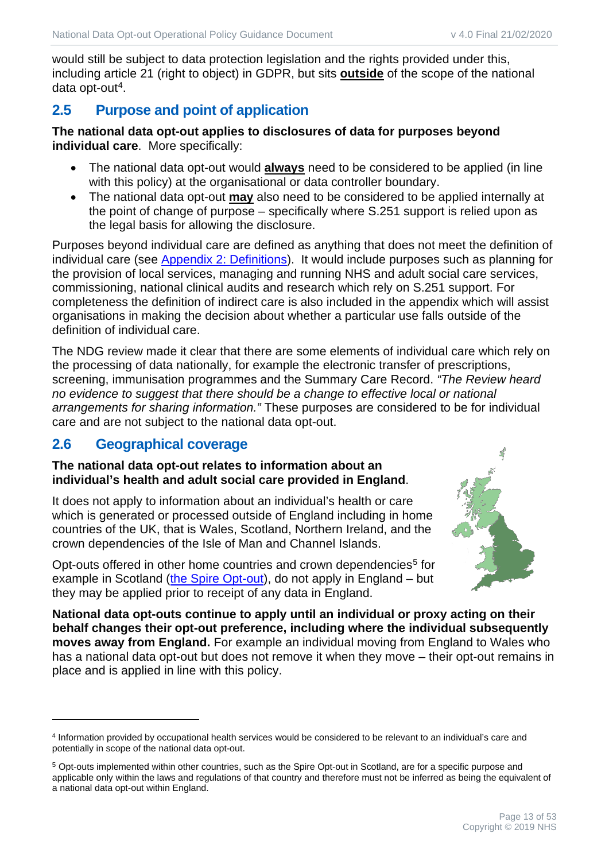would still be subject to data protection legislation and the rights provided under this, including article 21 (right to object) in GDPR, but sits **outside** of the scope of the national data opt-out<sup>[4](#page-12-2)</sup>.

# <span id="page-12-0"></span>**2.5 Purpose and point of application**

**The national data opt-out applies to disclosures of data for purposes beyond individual care**. More specifically:

- The national data opt-out would **always** need to be considered to be applied (in line with this policy) at the organisational or data controller boundary.
- The national data opt-out **may** also need to be considered to be applied internally at the point of change of purpose – specifically where S.251 support is relied upon as the legal basis for allowing the disclosure.

Purposes beyond individual care are defined as anything that does not meet the definition of individual care (see [Appendix 2:](#page-39-0) [Definitions\)](#page-39-0). It would include purposes such as planning for the provision of local services, managing and running NHS and adult social care services, commissioning, national clinical audits and research which rely on S.251 support. For completeness the definition of indirect care is also included in the appendix which will assist organisations in making the decision about whether a particular use falls outside of the definition of individual care.

The NDG review made it clear that there are some elements of individual care which rely on the processing of data nationally, for example the electronic transfer of prescriptions, screening, immunisation programmes and the Summary Care Record. *"The Review heard no evidence to suggest that there should be a change to effective local or national arrangements for sharing information."* These purposes are considered to be for individual care and are not subject to the national data opt-out.

# **2.6 Geographical coverage**

#### <span id="page-12-1"></span>**The national data opt-out relates to information about an individual's health and adult social care provided in England**.

It does not apply to information about an individual's health or care which is generated or processed outside of England including in home countries of the UK, that is Wales, Scotland, Northern Ireland, and the crown dependencies of the Isle of Man and Channel Islands.



Opt-outs offered in other home countries and crown dependencies<sup>[5](#page-12-3)</sup> for example in Scotland [\(the Spire Opt-out\)](http://www.spire.scot.nhs.uk/resources/_docs/SPI27400-Spire-opt-out-form_web.pdf), do not apply in England – but they may be applied prior to receipt of any data in England.

**National data opt-outs continue to apply until an individual or proxy acting on their behalf changes their opt-out preference, including where the individual subsequently moves away from England.** For example an individual moving from England to Wales who has a national data opt-out but does not remove it when they move – their opt-out remains in place and is applied in line with this policy.

<span id="page-12-2"></span><sup>4</sup> Information provided by occupational health services would be considered to be relevant to an individual's care and potentially in scope of the national data opt-out.

<span id="page-12-3"></span><sup>5</sup> Opt-outs implemented within other countries, such as the Spire Opt-out in Scotland, are for a specific purpose and applicable only within the laws and regulations of that country and therefore must not be inferred as being the equivalent of a national data opt-out within England.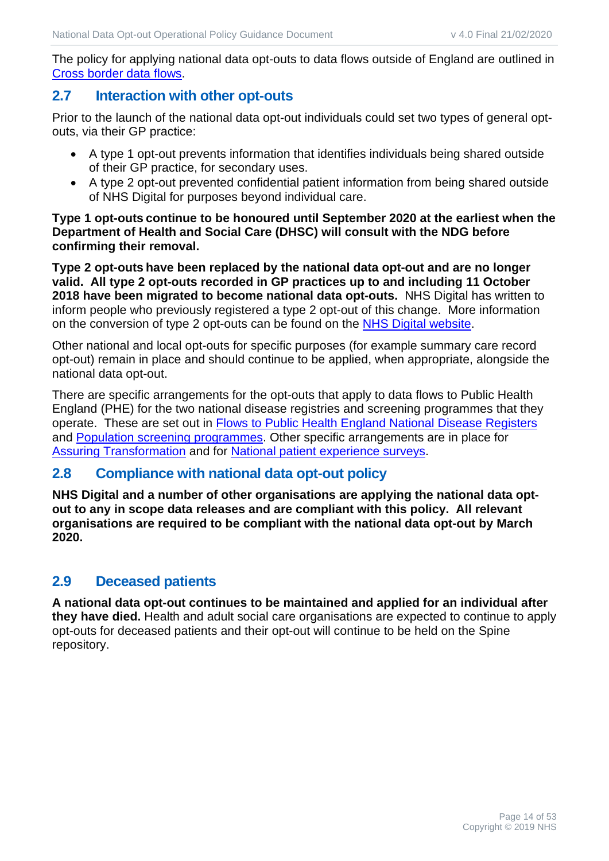The policy for applying national data opt-outs to data flows outside of England are outlined in [Cross border data flows.](#page-26-0)

#### <span id="page-13-0"></span>**2.7 Interaction with other opt-outs**

Prior to the launch of the national data opt-out individuals could set two types of general optouts, via their GP practice:

- A type 1 opt-out prevents information that identifies individuals being shared outside of their GP practice, for secondary uses.
- A type 2 opt-out prevented confidential patient information from being shared outside of NHS Digital for purposes beyond individual care.

#### **Type 1 opt-outs continue to be honoured until September 2020 at the earliest when the Department of Health and Social Care (DHSC) will consult with the NDG before confirming their removal.**

**Type 2 opt-outs have been replaced by the national data opt-out and are no longer valid. All type 2 opt-outs recorded in GP practices up to and including 11 October 2018 have been migrated to become national data opt-outs.** NHS Digital has written to inform people who previously registered a type 2 opt-out of this change. More information on the conversion of type 2 opt-outs can be found on the [NHS Digital website.](https://digital.nhs.uk/about-nhs-digital/our-work/keeping-patient-data-safe/how-we-look-after-your-health-and-care-information/your-information-choices/how-opt-outs-work)

Other national and local opt-outs for specific purposes (for example summary care record opt-out) remain in place and should continue to be applied, when appropriate, alongside the national data opt-out.

There are specific arrangements for the opt-outs that apply to data flows to Public Health England (PHE) for the two national disease registries and screening programmes that they operate. These are set out in [Flows to Public Health England National Disease Registers](#page-27-0) and [Population screening programmes.](#page-28-0) Other specific arrangements are in place for [Assuring Transformation](#page-28-1) and for [National patient experience surveys.](#page-28-2)

## <span id="page-13-1"></span>**2.8 Compliance with national data opt-out policy**

**NHS Digital and a number of other organisations are applying the national data optout to any in scope data releases and are compliant with this policy. All relevant organisations are required to be compliant with the national data opt-out by March 2020.**

## <span id="page-13-2"></span>**2.9 Deceased patients**

**A national data opt-out continues to be maintained and applied for an individual after they have died.** Health and adult social care organisations are expected to continue to apply opt-outs for deceased patients and their opt-out will continue to be held on the Spine repository.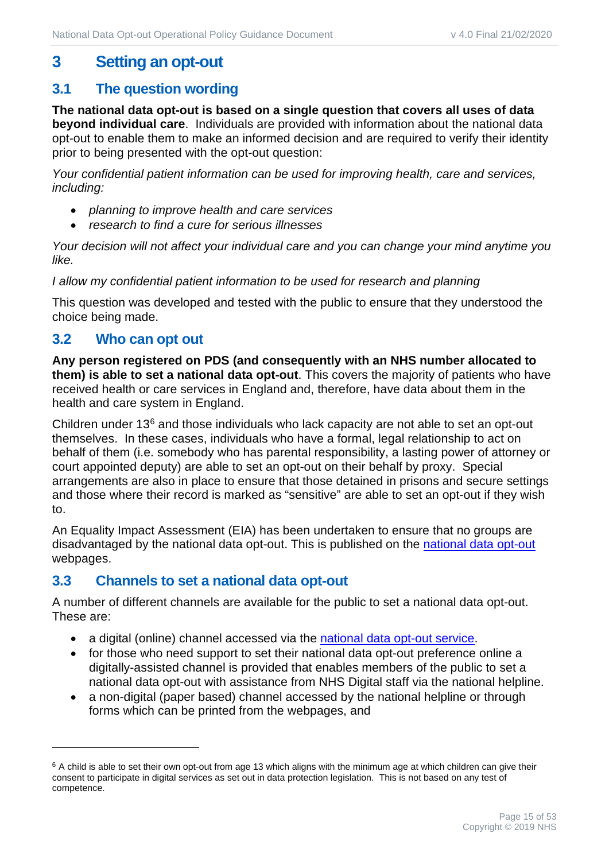# <span id="page-14-0"></span>**3 Setting an opt-out**

## <span id="page-14-1"></span>**3.1 The question wording**

**The national data opt-out is based on a single question that covers all uses of data beyond individual care**. Individuals are provided with information about the national data opt-out to enable them to make an informed decision and are required to verify their identity prior to being presented with the opt-out question:

*Your confidential patient information can be used for improving health, care and services, including:*

- *planning to improve health and care services*
- *research to find a cure for serious illnesses*

*Your decision will not affect your individual care and you can change your mind anytime you like.*

*I allow my confidential patient information to be used for research and planning*

This question was developed and tested with the public to ensure that they understood the choice being made.

## <span id="page-14-2"></span>**3.2 Who can opt out**

**Any person registered on PDS (and consequently with an NHS number allocated to them) is able to set a national data opt-out**. This covers the majority of patients who have received health or care services in England and, therefore, have data about them in the health and care system in England.

Children under 13[6](#page-14-4) and those individuals who lack capacity are not able to set an opt-out themselves. In these cases, individuals who have a formal, legal relationship to act on behalf of them (i.e. somebody who has parental responsibility, a lasting power of attorney or court appointed deputy) are able to set an opt-out on their behalf by proxy. Special arrangements are also in place to ensure that those detained in prisons and secure settings and those where their record is marked as "sensitive" are able to set an opt-out if they wish to.

An Equality Impact Assessment (EIA) has been undertaken to ensure that no groups are disadvantaged by the national data opt-out. This is published on the [national data opt-out](https://digital.nhs.uk/services/national-data-opt-out) webpages.

## <span id="page-14-3"></span>**3.3 Channels to set a national data opt-out**

A number of different channels are available for the public to set a national data opt-out. These are:

- a digital (online) channel accessed via the [national data opt-out service.](http://www.nhs.uk/your-nhs-data-matters)
- for those who need support to set their national data opt-out preference online a digitally-assisted channel is provided that enables members of the public to set a national data opt-out with assistance from NHS Digital staff via the national helpline.
- a non-digital (paper based) channel accessed by the national helpline or through forms which can be printed from the webpages, and

<span id="page-14-4"></span> $6$  A child is able to set their own opt-out from age 13 which aligns with the minimum age at which children can give their consent to participate in digital services as set out in data protection legislation. This is not based on any test of competence.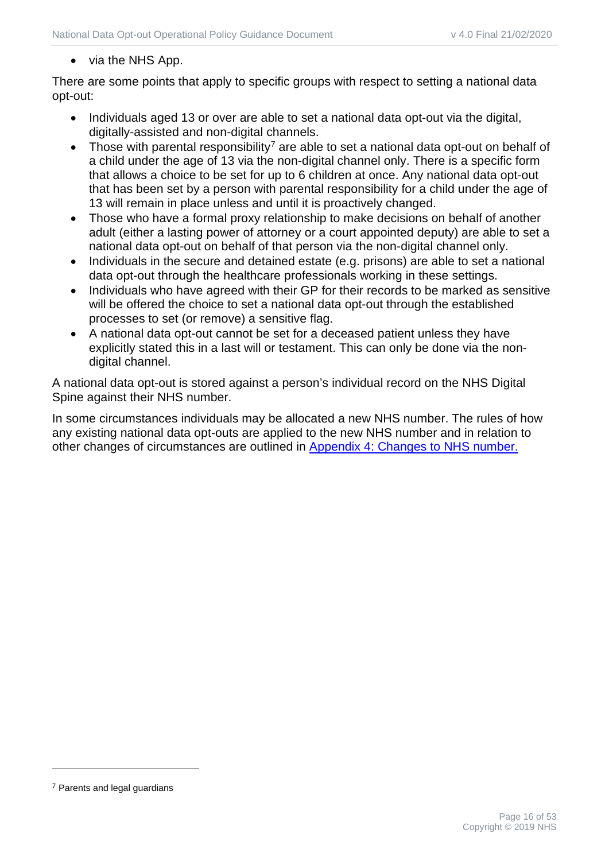#### • via the NHS App.

There are some points that apply to specific groups with respect to setting a national data opt-out:

- Individuals aged 13 or over are able to set a national data opt-out via the digital. digitally-assisted and non-digital channels.
- Those with parental responsibility<sup>[7](#page-15-0)</sup> are able to set a national data opt-out on behalf of a child under the age of 13 via the non-digital channel only. There is a specific form that allows a choice to be set for up to 6 children at once. Any national data opt-out that has been set by a person with parental responsibility for a child under the age of 13 will remain in place unless and until it is proactively changed.
- Those who have a formal proxy relationship to make decisions on behalf of another adult (either a lasting power of attorney or a court appointed deputy) are able to set a national data opt-out on behalf of that person via the non-digital channel only.
- Individuals in the secure and detained estate (e.g. prisons) are able to set a national data opt-out through the healthcare professionals working in these settings.
- Individuals who have agreed with their GP for their records to be marked as sensitive will be offered the choice to set a national data opt-out through the established processes to set (or remove) a sensitive flag.
- A national data opt-out cannot be set for a deceased patient unless they have explicitly stated this in a last will or testament. This can only be done via the nondigital channel.

A national data opt-out is stored against a person's individual record on the NHS Digital Spine against their NHS number.

In some circumstances individuals may be allocated a new NHS number. The rules of how any existing national data opt-outs are applied to the new NHS number and in relation to other changes of circumstances are outlined in [Appendix 4:](#page-43-0) [Changes to NHS number.](#page-43-0)

<span id="page-15-0"></span><sup>7</sup> Parents and legal guardians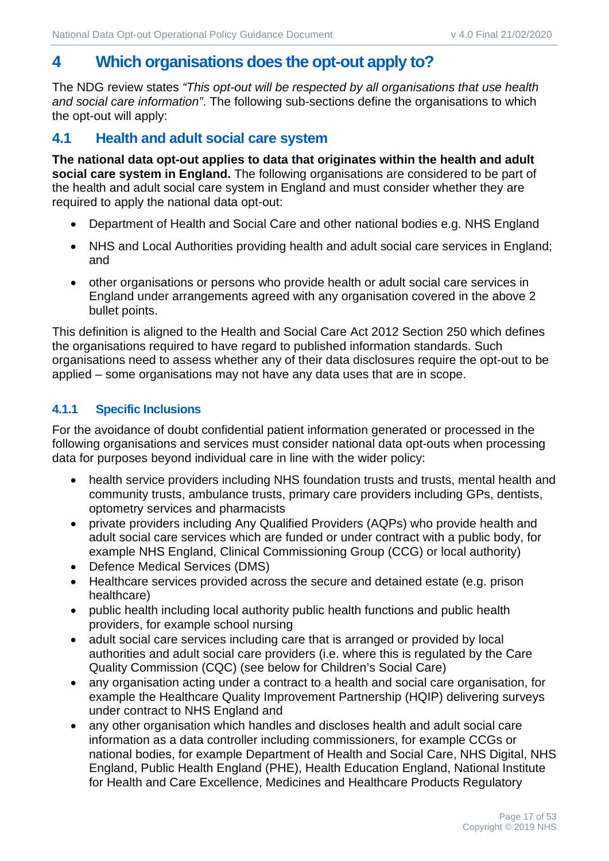# <span id="page-16-0"></span>**4 Which organisations does the opt-out apply to?**

The NDG review states *"This opt-out will be respected by all organisations that use health and social care information"*. The following sub-sections define the organisations to which the opt-out will apply:

## <span id="page-16-1"></span>**4.1 Health and adult social care system**

**The national data opt-out applies to data that originates within the health and adult social care system in England.** The following organisations are considered to be part of the health and adult social care system in England and must consider whether they are required to apply the national data opt-out:

- Department of Health and Social Care and other national bodies e.g. NHS England
- NHS and Local Authorities providing health and adult social care services in England; and
- other organisations or persons who provide health or adult social care services in England under arrangements agreed with any organisation covered in the above 2 bullet points.

This definition is aligned to the Health and Social Care Act 2012 Section 250 which defines the organisations required to have regard to published information standards. Such organisations need to assess whether any of their data disclosures require the opt-out to be applied – some organisations may not have any data uses that are in scope.

#### **4.1.1 Specific Inclusions**

For the avoidance of doubt confidential patient information generated or processed in the following organisations and services must consider national data opt-outs when processing data for purposes beyond individual care in line with the wider policy:

- health service providers including NHS foundation trusts and trusts, mental health and community trusts, ambulance trusts, primary care providers including GPs, dentists, optometry services and pharmacists
- private providers including Any Qualified Providers (AQPs) who provide health and adult social care services which are funded or under contract with a public body, for example NHS England, Clinical Commissioning Group (CCG) or local authority)
- Defence Medical Services (DMS)
- Healthcare services provided across the secure and detained estate (e.g. prison healthcare)
- public health including local authority public health functions and public health providers, for example school nursing
- adult social care services including care that is arranged or provided by local authorities and adult social care providers (i.e. where this is regulated by the Care Quality Commission (CQC) (see below for Children's Social Care)
- any organisation acting under a contract to a health and social care organisation, for example the Healthcare Quality Improvement Partnership (HQIP) delivering surveys under contract to NHS England and
- any other organisation which handles and discloses health and adult social care information as a data controller including commissioners, for example CCGs or national bodies, for example Department of Health and Social Care, NHS Digital, NHS England, Public Health England (PHE), Health Education England, National Institute for Health and Care Excellence, Medicines and Healthcare Products Regulatory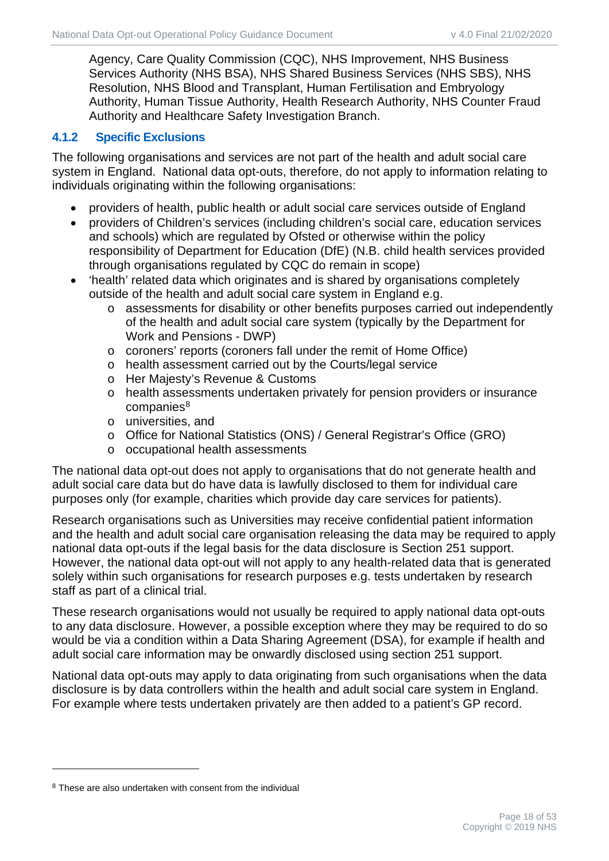Agency, Care Quality Commission (CQC), NHS Improvement, NHS Business Services Authority (NHS BSA), NHS Shared Business Services (NHS SBS), NHS Resolution, NHS Blood and Transplant, Human Fertilisation and Embryology Authority, Human Tissue Authority, Health Research Authority, NHS Counter Fraud Authority and Healthcare Safety Investigation Branch.

#### **4.1.2 Specific Exclusions**

The following organisations and services are not part of the health and adult social care system in England. National data opt-outs, therefore, do not apply to information relating to individuals originating within the following organisations:

- providers of health, public health or adult social care services outside of England
- providers of Children's services (including children's social care, education services and schools) which are regulated by Ofsted or otherwise within the policy responsibility of Department for Education (DfE) (N.B. child health services provided through organisations regulated by CQC do remain in scope)
- 'health' related data which originates and is shared by organisations completely outside of the health and adult social care system in England e.g.
	- o assessments for disability or other benefits purposes carried out independently of the health and adult social care system (typically by the Department for Work and Pensions - DWP)
	- o coroners' reports (coroners fall under the remit of Home Office)
	- o health assessment carried out by the Courts/legal service
	- o Her Majesty's Revenue & Customs
	- o health assessments undertaken privately for pension providers or insurance  $companies<sup>8</sup>$  $companies<sup>8</sup>$  $companies<sup>8</sup>$
	- o universities, and
	- o Office for National Statistics (ONS) / General Registrar's Office (GRO)
	- o occupational health assessments

The national data opt-out does not apply to organisations that do not generate health and adult social care data but do have data is lawfully disclosed to them for individual care purposes only (for example, charities which provide day care services for patients).

Research organisations such as Universities may receive confidential patient information and the health and adult social care organisation releasing the data may be required to apply national data opt-outs if the legal basis for the data disclosure is Section 251 support. However, the national data opt-out will not apply to any health-related data that is generated solely within such organisations for research purposes e.g. tests undertaken by research staff as part of a clinical trial.

These research organisations would not usually be required to apply national data opt-outs to any data disclosure. However, a possible exception where they may be required to do so would be via a condition within a Data Sharing Agreement (DSA), for example if health and adult social care information may be onwardly disclosed using section 251 support.

National data opt-outs may apply to data originating from such organisations when the data disclosure is by data controllers within the health and adult social care system in England. For example where tests undertaken privately are then added to a patient's GP record.

<span id="page-17-0"></span><sup>8</sup> These are also undertaken with consent from the individual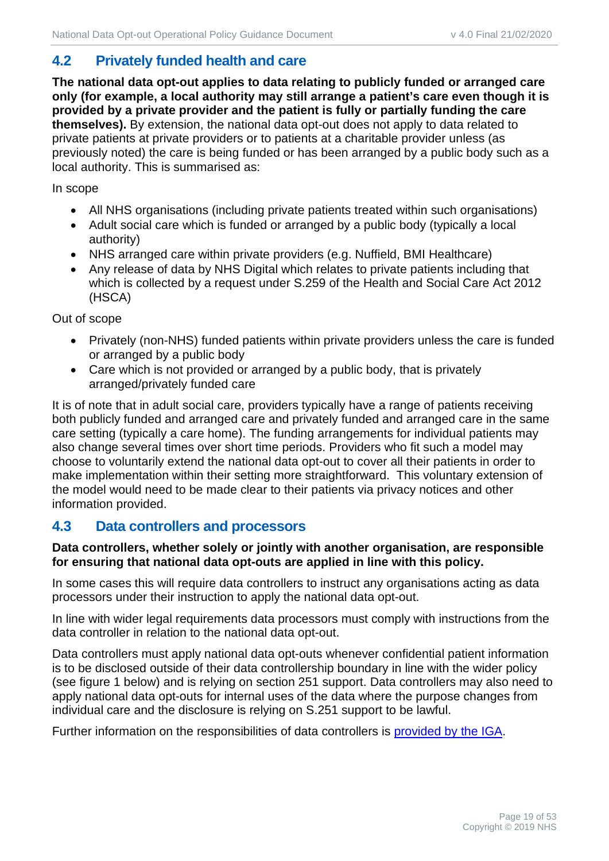# <span id="page-18-0"></span>**4.2 Privately funded health and care**

**The national data opt-out applies to data relating to publicly funded or arranged care only (for example, a local authority may still arrange a patient's care even though it is provided by a private provider and the patient is fully or partially funding the care themselves).** By extension, the national data opt-out does not apply to data related to private patients at private providers or to patients at a charitable provider unless (as previously noted) the care is being funded or has been arranged by a public body such as a local authority. This is summarised as:

In scope

- All NHS organisations (including private patients treated within such organisations)
- Adult social care which is funded or arranged by a public body (typically a local authority)
- NHS arranged care within private providers (e.g. Nuffield, BMI Healthcare)
- Any release of data by NHS Digital which relates to private patients including that which is collected by a request under S.259 of the Health and Social Care Act 2012 (HSCA)

Out of scope

- Privately (non-NHS) funded patients within private providers unless the care is funded or arranged by a public body
- Care which is not provided or arranged by a public body, that is privately arranged/privately funded care

It is of note that in adult social care, providers typically have a range of patients receiving both publicly funded and arranged care and privately funded and arranged care in the same care setting (typically a care home). The funding arrangements for individual patients may also change several times over short time periods. Providers who fit such a model may choose to voluntarily extend the national data opt-out to cover all their patients in order to make implementation within their setting more straightforward. This voluntary extension of the model would need to be made clear to their patients via privacy notices and other information provided.

## <span id="page-18-1"></span>**4.3 Data controllers and processors**

#### **Data controllers, whether solely or jointly with another organisation, are responsible for ensuring that national data opt-outs are applied in line with this policy.**

In some cases this will require data controllers to instruct any organisations acting as data processors under their instruction to apply the national data opt-out.

In line with wider legal requirements data processors must comply with instructions from the data controller in relation to the national data opt-out.

Data controllers must apply national data opt-outs whenever confidential patient information is to be disclosed outside of their data controllership boundary in line with the wider policy (see figure 1 below) and is relying on section 251 support. Data controllers may also need to apply national data opt-outs for internal uses of the data where the purpose changes from individual care and the disclosure is relying on S.251 support to be lawful.

Further information on the responsibilities of data controllers is [provided by the IGA.](https://www.igt.hscic.gov.uk/Resources/Data%20Controllers%20for%20shared%20records%20.pdf)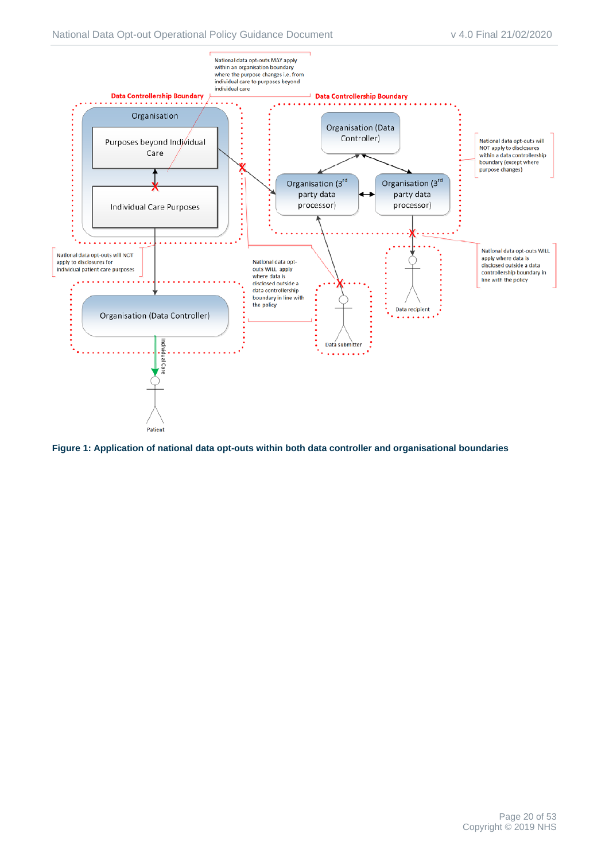

**Figure 1: Application of national data opt-outs within both data controller and organisational boundaries**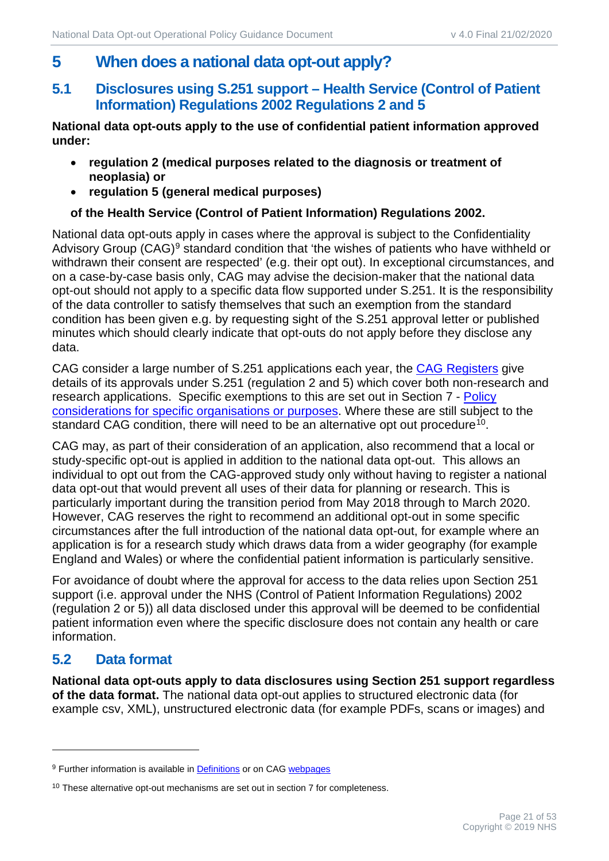# <span id="page-20-0"></span>**5 When does a national data opt-out apply?**

## <span id="page-20-1"></span>**5.1 Disclosures using S.251 support – Health Service (Control of Patient Information) Regulations 2002 Regulations 2 and 5**

**National data opt-outs apply to the use of confidential patient information approved under:**

- **regulation 2 (medical purposes related to the diagnosis or treatment of neoplasia) or**
- **regulation 5 (general medical purposes)**

#### **of the Health Service (Control of Patient Information) Regulations 2002.**

National data opt-outs apply in cases where the approval is subject to the Confidentiality Advisory Group (CAG)<sup>[9](#page-20-3)</sup> standard condition that 'the wishes of patients who have withheld or withdrawn their consent are respected' (e.g. their opt out). In exceptional circumstances, and on a case-by-case basis only, CAG may advise the decision-maker that the national data opt-out should not apply to a specific data flow supported under S.251. It is the responsibility of the data controller to satisfy themselves that such an exemption from the standard condition has been given e.g. by requesting sight of the S.251 approval letter or published minutes which should clearly indicate that opt-outs do not apply before they disclose any data.

CAG consider a large number of S.251 applications each year, the [CAG Registers](https://www.hra.nhs.uk/planning-and-improving-research/application-summaries/confidentiality-advisory-group-registers/) give details of its approvals under S.251 (regulation 2 and 5) which cover both non-research and research applications. Specific exemptions to this are set out in Section [7](#page-25-0) - Policy [considerations for specific organisations or purposes.](#page-25-0) Where these are still subject to the standard CAG condition, there will need to be an alternative opt out procedure<sup>10</sup>.

CAG may, as part of their consideration of an application, also recommend that a local or study-specific opt-out is applied in addition to the national data opt-out. This allows an individual to opt out from the CAG-approved study only without having to register a national data opt-out that would prevent all uses of their data for planning or research. This is particularly important during the transition period from May 2018 through to March 2020. However, CAG reserves the right to recommend an additional opt-out in some specific circumstances after the full introduction of the national data opt-out, for example where an application is for a research study which draws data from a wider geography (for example England and Wales) or where the confidential patient information is particularly sensitive.

For avoidance of doubt where the approval for access to the data relies upon Section 251 support (i.e. approval under the NHS (Control of Patient Information Regulations) 2002 (regulation 2 or 5)) all data disclosed under this approval will be deemed to be confidential patient information even where the specific disclosure does not contain any health or care information.

## <span id="page-20-2"></span>**5.2 Data format**

**National data opt-outs apply to data disclosures using Section 251 support regardless of the data format.** The national data opt-out applies to structured electronic data (for example csv, XML), unstructured electronic data (for example PDFs, scans or images) and

<span id="page-20-3"></span><sup>&</sup>lt;sup>9</sup> Further information is available i[n Definitions](#page-39-0) or on CAG [webpages](https://www.hra.nhs.uk/about-us/committees-and-services/confidentiality-advisory-group/)

<span id="page-20-4"></span> $10$  These alternative opt-out mechanisms are set out in section 7 for completeness.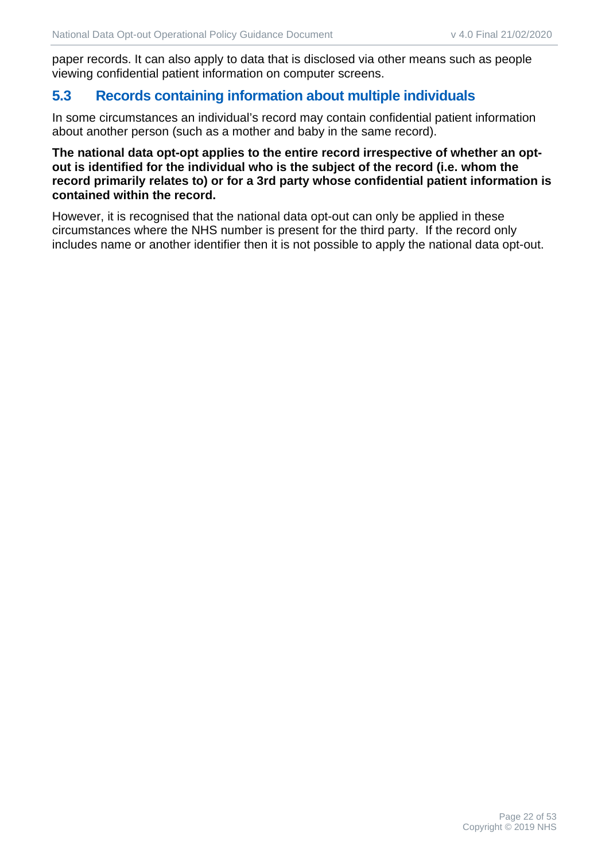paper records. It can also apply to data that is disclosed via other means such as people viewing confidential patient information on computer screens.

#### <span id="page-21-0"></span>**5.3 Records containing information about multiple individuals**

In some circumstances an individual's record may contain confidential patient information about another person (such as a mother and baby in the same record).

#### **The national data opt-opt applies to the entire record irrespective of whether an optout is identified for the individual who is the subject of the record (i.e. whom the record primarily relates to) or for a 3rd party whose confidential patient information is contained within the record.**

However, it is recognised that the national data opt-out can only be applied in these circumstances where the NHS number is present for the third party. If the record only includes name or another identifier then it is not possible to apply the national data opt-out.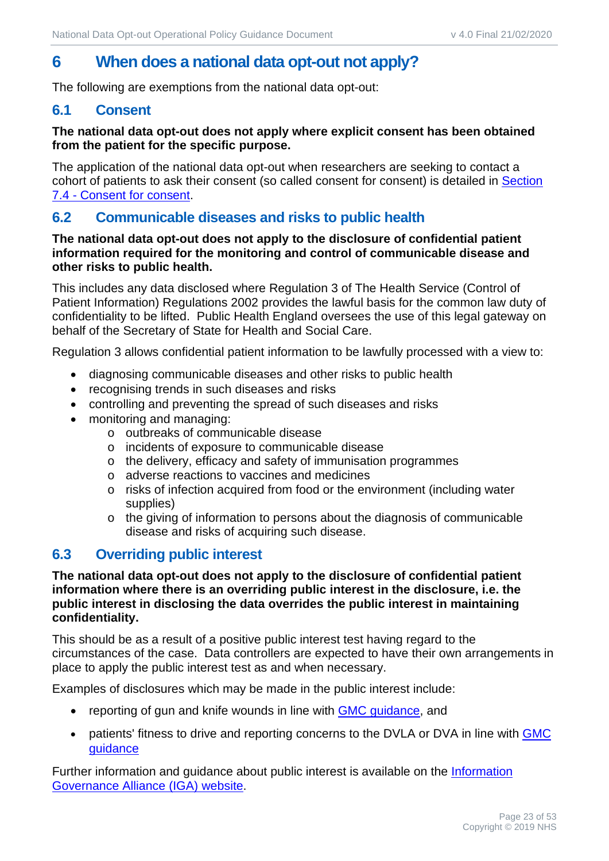# <span id="page-22-0"></span>**6 When does a national data opt-out not apply?**

The following are exemptions from the national data opt-out:

#### <span id="page-22-1"></span>**6.1 Consent**

#### **The national data opt-out does not apply where explicit consent has been obtained from the patient for the specific purpose.**

The application of the national data opt-out when researchers are seeking to contact a cohort of patients to ask their consent (so called consent for consent) is detailed in Section [7.4](#page-26-1) - [Consent for consent.](#page-26-1)

## <span id="page-22-2"></span>**6.2 Communicable diseases and risks to public health**

#### **The national data opt-out does not apply to the disclosure of confidential patient information required for the monitoring and control of communicable disease and other risks to public health.**

This includes any data disclosed where Regulation 3 of The Health Service (Control of Patient Information) Regulations 2002 provides the lawful basis for the common law duty of confidentiality to be lifted. Public Health England oversees the use of this legal gateway on behalf of the Secretary of State for Health and Social Care.

Regulation 3 allows confidential patient information to be lawfully processed with a view to:

- diagnosing communicable diseases and other risks to public health
- recognising trends in such diseases and risks
- controlling and preventing the spread of such diseases and risks
- monitoring and managing:
	- o outbreaks of communicable disease
	- o incidents of exposure to communicable disease
	- o the delivery, efficacy and safety of immunisation programmes
	- o adverse reactions to vaccines and medicines
	- o risks of infection acquired from food or the environment (including water supplies)
	- o the giving of information to persons about the diagnosis of communicable disease and risks of acquiring such disease.

## <span id="page-22-3"></span>**6.3 Overriding public interest**

**The national data opt-out does not apply to the disclosure of confidential patient information where there is an overriding public interest in the disclosure, i.e. the public interest in disclosing the data overrides the public interest in maintaining confidentiality.** 

This should be as a result of a positive public interest test having regard to the circumstances of the case. Data controllers are expected to have their own arrangements in place to apply the public interest test as and when necessary.

Examples of disclosures which may be made in the public interest include:

- reporting of gun and knife wounds in line with **GMC** guidance, and
- patients' fitness to drive and reporting concerns to the DVLA or DVA in line with GMC [guidance](https://www.gmc-uk.org/ethical-guidance/ethical-guidance-for-doctors/confidentiality---patients-fitness-to-drive-and-reporting-concerns-to-the-dvla-or-dva)

Further information and quidance about public interest is available on the Information [Governance Alliance \(IGA\) website.](https://digital.nhs.uk/information-governance-alliance)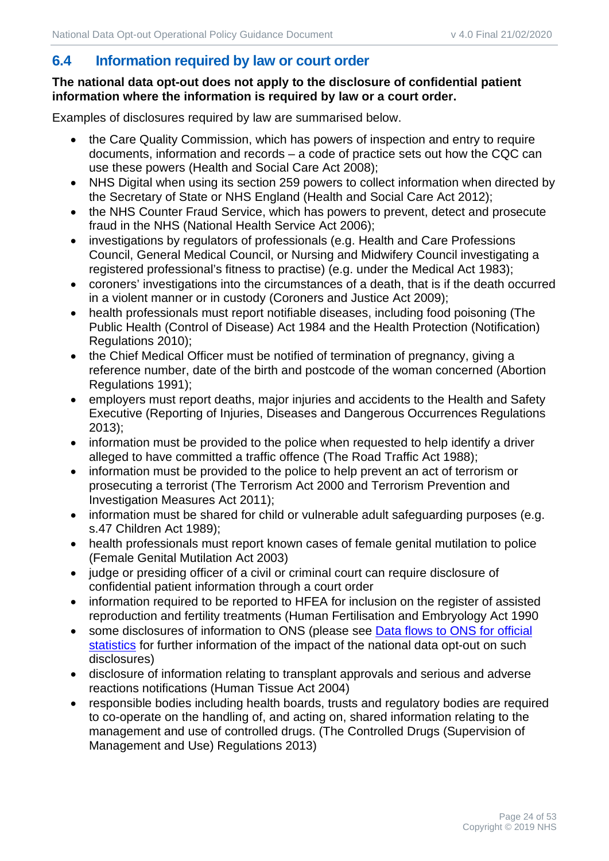# <span id="page-23-0"></span>**6.4 Information required by law or court order**

#### **The national data opt-out does not apply to the disclosure of confidential patient information where the information is required by law or a court order.**

Examples of disclosures required by law are summarised below.

- the Care Quality Commission, which has powers of inspection and entry to require documents, information and records – a code of practice sets out how the CQC can use these powers (Health and Social Care Act 2008);
- NHS Digital when using its section 259 powers to collect information when directed by the Secretary of State or NHS England (Health and Social Care Act 2012);
- the NHS Counter Fraud Service, which has powers to prevent, detect and prosecute fraud in the NHS (National Health Service Act 2006);
- investigations by regulators of professionals (e.g. Health and Care Professions Council, General Medical Council, or Nursing and Midwifery Council investigating a registered professional's fitness to practise) (e.g. under the Medical Act 1983);
- coroners' investigations into the circumstances of a death, that is if the death occurred in a violent manner or in custody (Coroners and Justice Act 2009);
- health professionals must report notifiable diseases, including food poisoning (The Public Health (Control of Disease) Act 1984 and the Health Protection (Notification) Regulations 2010);
- the Chief Medical Officer must be notified of termination of pregnancy, giving a reference number, date of the birth and postcode of the woman concerned (Abortion Regulations 1991);
- employers must report deaths, major injuries and accidents to the Health and Safety Executive (Reporting of Injuries, Diseases and Dangerous Occurrences Regulations 2013);
- information must be provided to the police when requested to help identify a driver alleged to have committed a traffic offence (The Road Traffic Act 1988);
- information must be provided to the police to help prevent an act of terrorism or prosecuting a terrorist (The Terrorism Act 2000 and Terrorism Prevention and Investigation Measures Act 2011);
- information must be shared for child or vulnerable adult safeguarding purposes (e.g. s.47 Children Act 1989);
- health professionals must report known cases of female genital mutilation to police (Female Genital Mutilation Act 2003)
- judge or presiding officer of a civil or criminal court can require disclosure of confidential patient information through a court order
- information required to be reported to HFEA for inclusion on the register of assisted reproduction and fertility treatments (Human Fertilisation and Embryology Act 1990
- some disclosures of information to ONS (please see Data flows to ONS for official [statistics](#page-27-1) for further information of the impact of the national data opt-out on such disclosures)
- disclosure of information relating to transplant approvals and serious and adverse reactions notifications (Human Tissue Act 2004)
- responsible bodies including health boards, trusts and regulatory bodies are required to co-operate on the handling of, and acting on, shared information relating to the management and use of controlled drugs. (The Controlled Drugs (Supervision of Management and Use) Regulations 2013)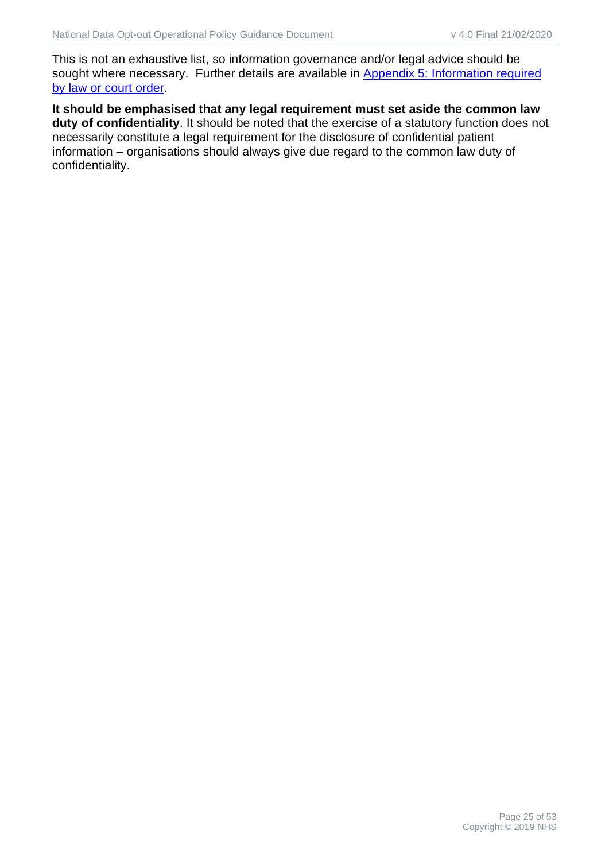This is not an exhaustive list, so information governance and/or legal advice should be sought where necessary. Further details are available in [Appendix 5:](#page-44-0) [Information required](#page-44-0)  [by law or court order.](#page-44-0)

**It should be emphasised that any legal requirement must set aside the common law duty of confidentiality**. It should be noted that the exercise of a statutory function does not necessarily constitute a legal requirement for the disclosure of confidential patient information – organisations should always give due regard to the common law duty of confidentiality.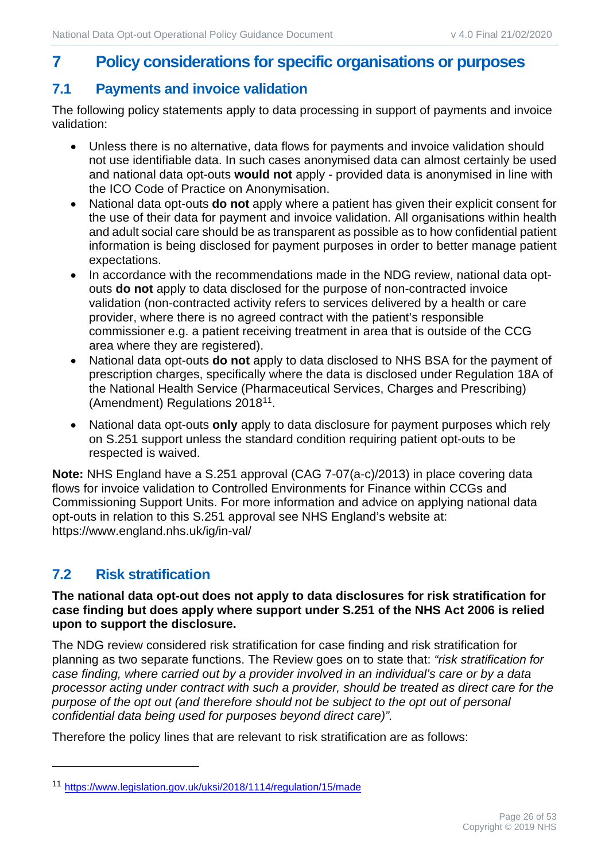# <span id="page-25-0"></span>**7 Policy considerations for specific organisations or purposes**

## <span id="page-25-1"></span>**7.1 Payments and invoice validation**

The following policy statements apply to data processing in support of payments and invoice validation:

- Unless there is no alternative, data flows for payments and invoice validation should not use identifiable data. In such cases anonymised data can almost certainly be used and national data opt-outs **would not** apply - provided data is anonymised in line with the ICO Code of Practice on Anonymisation.
- National data opt-outs **do not** apply where a patient has given their explicit consent for the use of their data for payment and invoice validation. All organisations within health and adult social care should be as transparent as possible as to how confidential patient information is being disclosed for payment purposes in order to better manage patient expectations.
- In accordance with the recommendations made in the NDG review, national data optouts **do not** apply to data disclosed for the purpose of non-contracted invoice validation (non-contracted activity refers to services delivered by a health or care provider, where there is no agreed contract with the patient's responsible commissioner e.g. a patient receiving treatment in area that is outside of the CCG area where they are registered).
- National data opt-outs **do not** apply to data disclosed to NHS BSA for the payment of prescription charges, specifically where the data is disclosed under Regulation 18A of the National Health Service (Pharmaceutical Services, Charges and Prescribing) (Amendment) Regulations 2018<sup>11</sup>.
- National data opt-outs **only** apply to data disclosure for payment purposes which rely on S.251 support unless the standard condition requiring patient opt-outs to be respected is waived.

**Note:** NHS England have a S.251 approval (CAG 7-07(a-c)/2013) in place covering data flows for invoice validation to Controlled Environments for Finance within CCGs and Commissioning Support Units. For more information and advice on applying national data opt-outs in relation to this S.251 approval see NHS England's website at: https://www.england.nhs.uk/ig/in-val/

# <span id="page-25-2"></span>**7.2 Risk stratification**

#### **The national data opt-out does not apply to data disclosures for risk stratification for case finding but does apply where support under S.251 of the NHS Act 2006 is relied upon to support the disclosure.**

The NDG review considered risk stratification for case finding and risk stratification for planning as two separate functions. The Review goes on to state that: *"risk stratification for case finding, where carried out by a provider involved in an individual's care or by a data processor acting under contract with such a provider, should be treated as direct care for the purpose of the opt out (and therefore should not be subject to the opt out of personal confidential data being used for purposes beyond direct care)".*

Therefore the policy lines that are relevant to risk stratification are as follows:

<span id="page-25-3"></span><sup>11</sup> <https://www.legislation.gov.uk/uksi/2018/1114/regulation/15/made>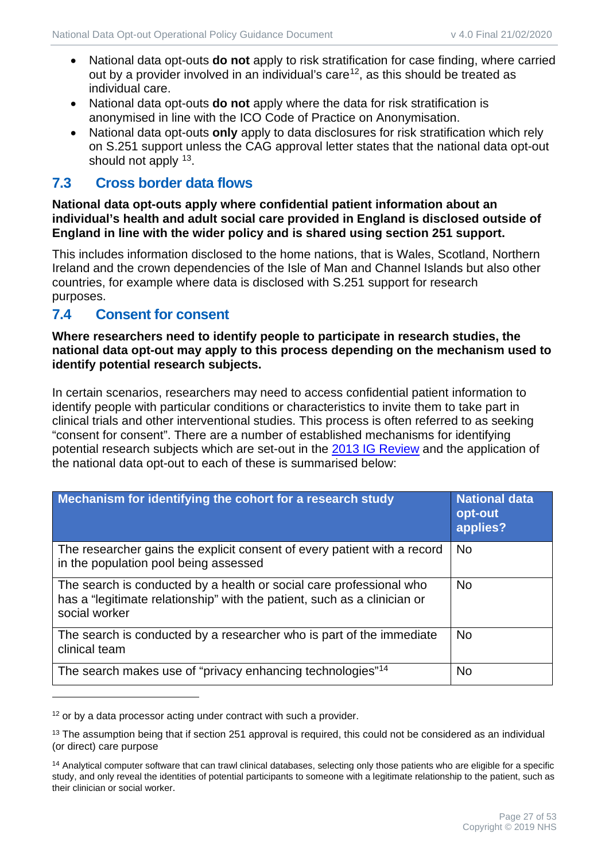- National data opt-outs **do not** apply to risk stratification for case finding, where carried out by a provider involved in an individual's care<sup>[12](#page-26-2)</sup>, as this should be treated as individual care.
- National data opt-outs **do not** apply where the data for risk stratification is anonymised in line with the ICO Code of Practice on Anonymisation.
- National data opt-outs **only** apply to data disclosures for risk stratification which rely on S.251 support unless the CAG approval letter states that the national data opt-out should not apply <sup>[13](#page-26-3)</sup>.

#### <span id="page-26-0"></span>**7.3 Cross border data flows**

#### **National data opt-outs apply where confidential patient information about an individual's health and adult social care provided in England is disclosed outside of England in line with the wider policy and is shared using section 251 support.**

This includes information disclosed to the home nations, that is Wales, Scotland, Northern Ireland and the crown dependencies of the Isle of Man and Channel Islands but also other countries, for example where data is disclosed with S.251 support for research purposes.

#### <span id="page-26-1"></span>**7.4 Consent for consent**

#### **Where researchers need to identify people to participate in research studies, the national data opt-out may apply to this process depending on the mechanism used to identify potential research subjects.**

In certain scenarios, researchers may need to access confidential patient information to identify people with particular conditions or characteristics to invite them to take part in clinical trials and other interventional studies. This process is often referred to as seeking "consent for consent". There are a number of established mechanisms for identifying potential research subjects which are set-out in the [2013 IG Review](https://www.gov.uk/government/uploads/system/uploads/attachment_data/file/192572/2900774_InfoGovernance_accv2.pdf) and the application of the national data opt-out to each of these is summarised below:

| Mechanism for identifying the cohort for a research study                                                                                                        | <b>National data</b><br>opt-out<br>applies? |
|------------------------------------------------------------------------------------------------------------------------------------------------------------------|---------------------------------------------|
| The researcher gains the explicit consent of every patient with a record<br>in the population pool being assessed                                                | <b>No</b>                                   |
| The search is conducted by a health or social care professional who<br>has a "legitimate relationship" with the patient, such as a clinician or<br>social worker | <b>No</b>                                   |
| The search is conducted by a researcher who is part of the immediate<br>clinical team                                                                            | <b>No</b>                                   |
| The search makes use of "privacy enhancing technologies" <sup>14</sup>                                                                                           | <b>No</b>                                   |

<span id="page-26-2"></span> $12$  or by a data processor acting under contract with such a provider.

<span id="page-26-3"></span> $13$  The assumption being that if section 251 approval is required, this could not be considered as an individual (or direct) care purpose

<span id="page-26-4"></span><sup>&</sup>lt;sup>14</sup> Analytical computer software that can trawl clinical databases, selecting only those patients who are eligible for a specific study, and only reveal the identities of potential participants to someone with a legitimate relationship to the patient, such as their clinician or social worker.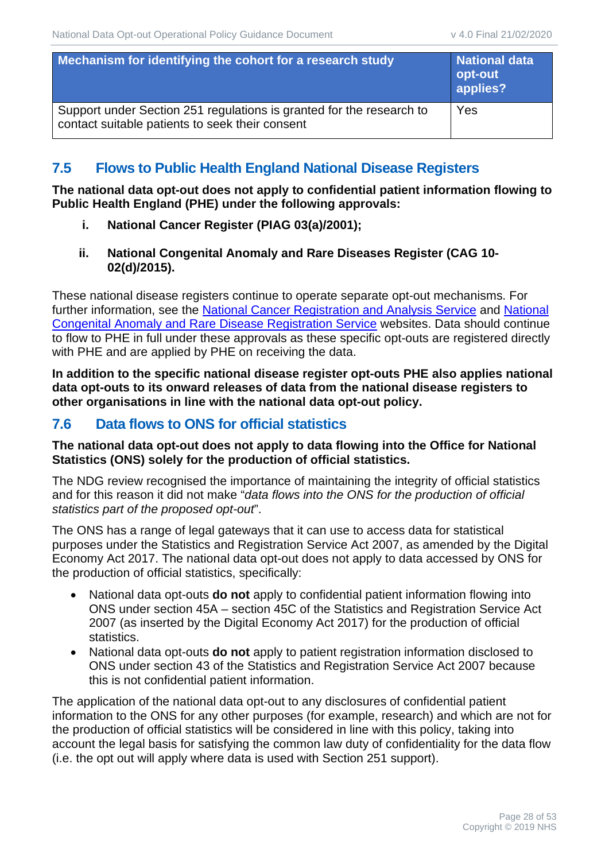| Mechanism for identifying the cohort for a research study                                                               | <b>National data</b><br>opt-out<br>applies? |
|-------------------------------------------------------------------------------------------------------------------------|---------------------------------------------|
| Support under Section 251 regulations is granted for the research to<br>contact suitable patients to seek their consent | Yes                                         |

## <span id="page-27-0"></span>**7.5 Flows to Public Health England National Disease Registers**

**The national data opt-out does not apply to confidential patient information flowing to Public Health England (PHE) under the following approvals:** 

- **i. National Cancer Register (PIAG 03(a)/2001);**
- **ii. National Congenital Anomaly and Rare Diseases Register (CAG 10- 02(d)/2015).**

These national disease registers continue to operate separate opt-out mechanisms. For further information, see the [National Cancer Registration and Analysis Service](https://www.gov.uk/guidance/national-cancer-registration-and-analysis-service-ncras#opt-out-of-cancer-registration) and [National](https://www.gov.uk/guidance/the-national-congenital-anomaly-and-rare-disease-registration-service-ncardrs#opt-out))  [Congenital Anomaly and Rare Disease Registration Service](https://www.gov.uk/guidance/the-national-congenital-anomaly-and-rare-disease-registration-service-ncardrs#opt-out)) websites. Data should continue to flow to PHE in full under these approvals as these specific opt-outs are registered directly with PHE and are applied by PHE on receiving the data.

**In addition to the specific national disease register opt-outs PHE also applies national data opt-outs to its onward releases of data from the national disease registers to other organisations in line with the national data opt-out policy.** 

#### <span id="page-27-1"></span>**7.6 Data flows to ONS for official statistics**

#### **The national data opt-out does not apply to data flowing into the Office for National Statistics (ONS) solely for the production of official statistics.**

The NDG review recognised the importance of maintaining the integrity of official statistics and for this reason it did not make "*data flows into the ONS for the production of official statistics part of the proposed opt-out*".

The ONS has a range of legal gateways that it can use to access data for statistical purposes under the Statistics and Registration Service Act 2007, as amended by the Digital Economy Act 2017. The national data opt-out does not apply to data accessed by ONS for the production of official statistics, specifically:

- National data opt-outs **do not** apply to confidential patient information flowing into ONS under section 45A – section 45C of the Statistics and Registration Service Act 2007 (as inserted by the Digital Economy Act 2017) for the production of official statistics.
- National data opt-outs **do not** apply to patient registration information disclosed to ONS under section 43 of the Statistics and Registration Service Act 2007 because this is not confidential patient information.

The application of the national data opt-out to any disclosures of confidential patient information to the ONS for any other purposes (for example, research) and which are not for the production of official statistics will be considered in line with this policy, taking into account the legal basis for satisfying the common law duty of confidentiality for the data flow (i.e. the opt out will apply where data is used with Section 251 support).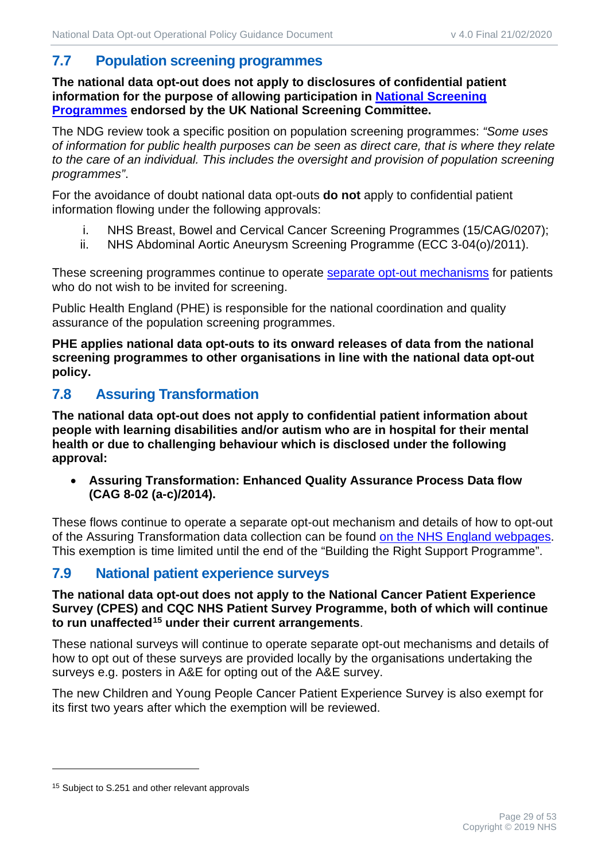# <span id="page-28-0"></span>**7.7 Population screening programmes**

**The national data opt-out does not apply to disclosures of confidential patient information for the purpose of allowing participation in [National Screening](https://www.gov.uk/topic/population-screening-programmes)  [Programmes](https://www.gov.uk/topic/population-screening-programmes) endorsed by the UK National Screening Committee.** 

The NDG review took a specific position on population screening programmes: *"Some uses of information for public health purposes can be seen as direct care, that is where they relate to the care of an individual. This includes the oversight and provision of population screening programmes"*.

For the avoidance of doubt national data opt-outs **do not** apply to confidential patient information flowing under the following approvals:

- i. NHS Breast, Bowel and Cervical Cancer Screening Programmes (15/CAG/0207);
- ii. NHS Abdominal Aortic Aneurysm Screening Programme (ECC 3-04(o)/2011).

These screening programmes continue to operate [separate opt-out mechanisms](https://www.gov.uk/government/publications/opting-out-of-the-nhs-population-screening-programmes/opting-out-of-screening) for patients who do not wish to be invited for screening.

Public Health England (PHE) is responsible for the national coordination and quality assurance of the population screening programmes.

**PHE applies national data opt-outs to its onward releases of data from the national screening programmes to other organisations in line with the national data opt-out policy.**

## <span id="page-28-1"></span>**7.8 Assuring Transformation**

**The national data opt-out does not apply to confidential patient information about people with learning disabilities and/or autism who are in hospital for their mental health or due to challenging behaviour which is disclosed under the following approval:**

• **Assuring Transformation: Enhanced Quality Assurance Process Data flow (CAG 8-02 (a-c)/2014).** 

These flows continue to operate a separate opt-out mechanism and details of how to opt-out of the Assuring Transformation data collection can be found [on the NHS England webpages.](https://www.england.nhs.uk/learning-disabilities/care/atd/) This exemption is time limited until the end of the "Building the Right Support Programme".

## <span id="page-28-2"></span>**7.9 National patient experience surveys**

**The national data opt-out does not apply to the National Cancer Patient Experience Survey (CPES) and CQC NHS Patient Survey Programme, both of which will continue to run unaffected[15](#page-28-3) under their current arrangements**.

These national surveys will continue to operate separate opt-out mechanisms and details of how to opt out of these surveys are provided locally by the organisations undertaking the surveys e.g. posters in A&E for opting out of the A&E survey.

The new Children and Young People Cancer Patient Experience Survey is also exempt for its first two years after which the exemption will be reviewed.

<span id="page-28-3"></span><sup>&</sup>lt;sup>15</sup> Subject to S.251 and other relevant approvals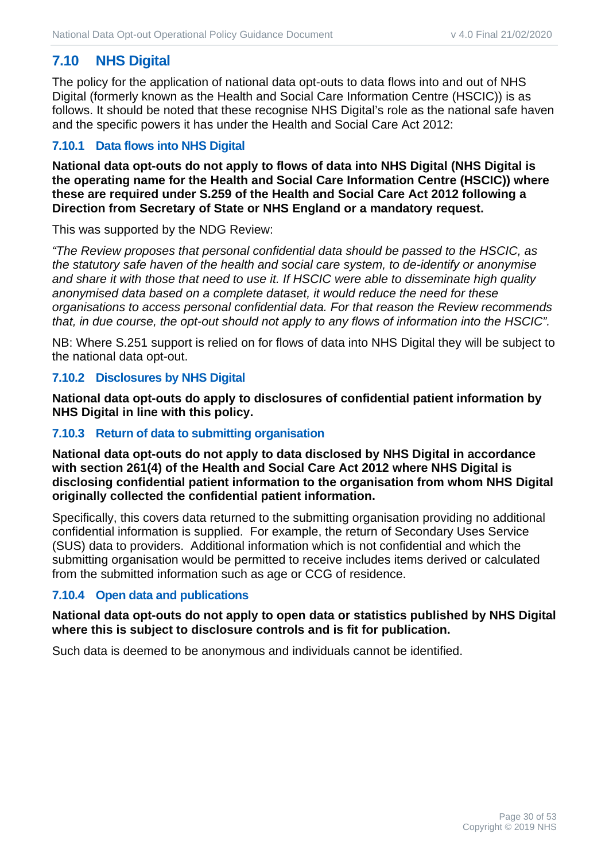## <span id="page-29-0"></span>**7.10 NHS Digital**

The policy for the application of national data opt-outs to data flows into and out of NHS Digital (formerly known as the Health and Social Care Information Centre (HSCIC)) is as follows. It should be noted that these recognise NHS Digital's role as the national safe haven and the specific powers it has under the Health and Social Care Act 2012:

#### **7.10.1 Data flows into NHS Digital**

**National data opt-outs do not apply to flows of data into NHS Digital (NHS Digital is the operating name for the Health and Social Care Information Centre (HSCIC)) where these are required under S.259 of the Health and Social Care Act 2012 following a Direction from Secretary of State or NHS England or a mandatory request.**

This was supported by the NDG Review:

*"The Review proposes that personal confidential data should be passed to the HSCIC, as the statutory safe haven of the health and social care system, to de-identify or anonymise and share it with those that need to use it. If HSCIC were able to disseminate high quality anonymised data based on a complete dataset, it would reduce the need for these organisations to access personal confidential data. For that reason the Review recommends that, in due course, the opt-out should not apply to any flows of information into the HSCIC".*

NB: Where S.251 support is relied on for flows of data into NHS Digital they will be subject to the national data opt-out.

#### **7.10.2 Disclosures by NHS Digital**

**National data opt-outs do apply to disclosures of confidential patient information by NHS Digital in line with this policy.**

#### **7.10.3 Return of data to submitting organisation**

**National data opt-outs do not apply to data disclosed by NHS Digital in accordance with section 261(4) of the Health and Social Care Act 2012 where NHS Digital is disclosing confidential patient information to the organisation from whom NHS Digital originally collected the confidential patient information.**

Specifically, this covers data returned to the submitting organisation providing no additional confidential information is supplied. For example, the return of Secondary Uses Service (SUS) data to providers. Additional information which is not confidential and which the submitting organisation would be permitted to receive includes items derived or calculated from the submitted information such as age or CCG of residence.

#### **7.10.4 Open data and publications**

#### **National data opt-outs do not apply to open data or statistics published by NHS Digital where this is subject to disclosure controls and is fit for publication.**

Such data is deemed to be anonymous and individuals cannot be identified.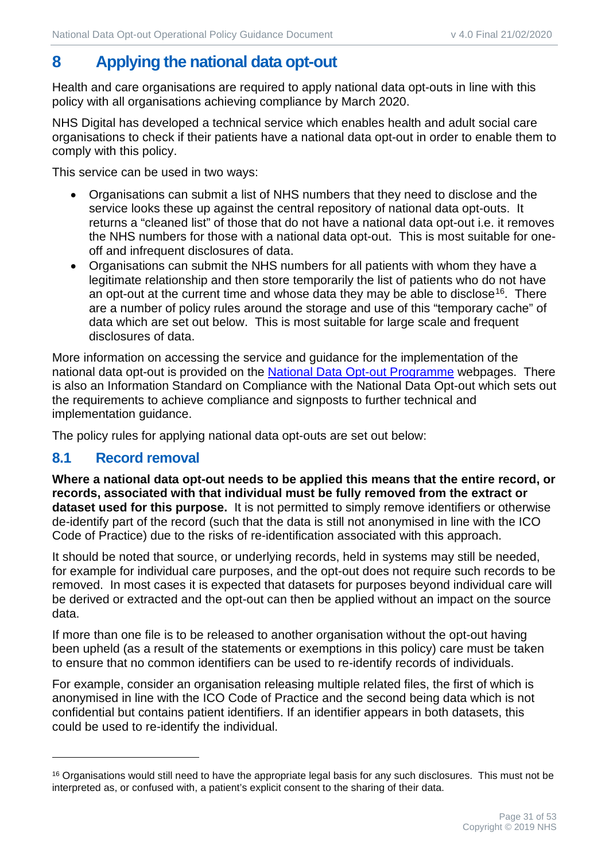# <span id="page-30-0"></span>**8 Applying the national data opt-out**

Health and care organisations are required to apply national data opt-outs in line with this policy with all organisations achieving compliance by March 2020.

NHS Digital has developed a technical service which enables health and adult social care organisations to check if their patients have a national data opt-out in order to enable them to comply with this policy.

This service can be used in two ways:

- Organisations can submit a list of NHS numbers that they need to disclose and the service looks these up against the central repository of national data opt-outs. It returns a "cleaned list" of those that do not have a national data opt-out i.e. it removes the NHS numbers for those with a national data opt-out. This is most suitable for oneoff and infrequent disclosures of data.
- Organisations can submit the NHS numbers for all patients with whom they have a legitimate relationship and then store temporarily the list of patients who do not have an opt-out at the current time and whose data they may be able to disclose<sup>[16](#page-30-2)</sup>. There are a number of policy rules around the storage and use of this "temporary cache" of data which are set out below. This is most suitable for large scale and frequent disclosures of data.

More information on accessing the service and guidance for the implementation of the national data opt-out is provided on the [National Data Opt-out Programme](https://digital.nhs.uk/national-data-opt-out) webpages. There is also an Information Standard on Compliance with the National Data Opt-out which sets out the requirements to achieve compliance and signposts to further technical and implementation guidance.

The policy rules for applying national data opt-outs are set out below:

## <span id="page-30-1"></span>**8.1 Record removal**

**Where a national data opt-out needs to be applied this means that the entire record, or records, associated with that individual must be fully removed from the extract or dataset used for this purpose.** It is not permitted to simply remove identifiers or otherwise de-identify part of the record (such that the data is still not anonymised in line with the ICO Code of Practice) due to the risks of re-identification associated with this approach.

It should be noted that source, or underlying records, held in systems may still be needed, for example for individual care purposes, and the opt-out does not require such records to be removed. In most cases it is expected that datasets for purposes beyond individual care will be derived or extracted and the opt-out can then be applied without an impact on the source data.

If more than one file is to be released to another organisation without the opt-out having been upheld (as a result of the statements or exemptions in this policy) care must be taken to ensure that no common identifiers can be used to re-identify records of individuals.

For example, consider an organisation releasing multiple related files, the first of which is anonymised in line with the ICO Code of Practice and the second being data which is not confidential but contains patient identifiers. If an identifier appears in both datasets, this could be used to re-identify the individual.

<span id="page-30-2"></span><sup>&</sup>lt;sup>16</sup> Organisations would still need to have the appropriate legal basis for any such disclosures. This must not be interpreted as, or confused with, a patient's explicit consent to the sharing of their data.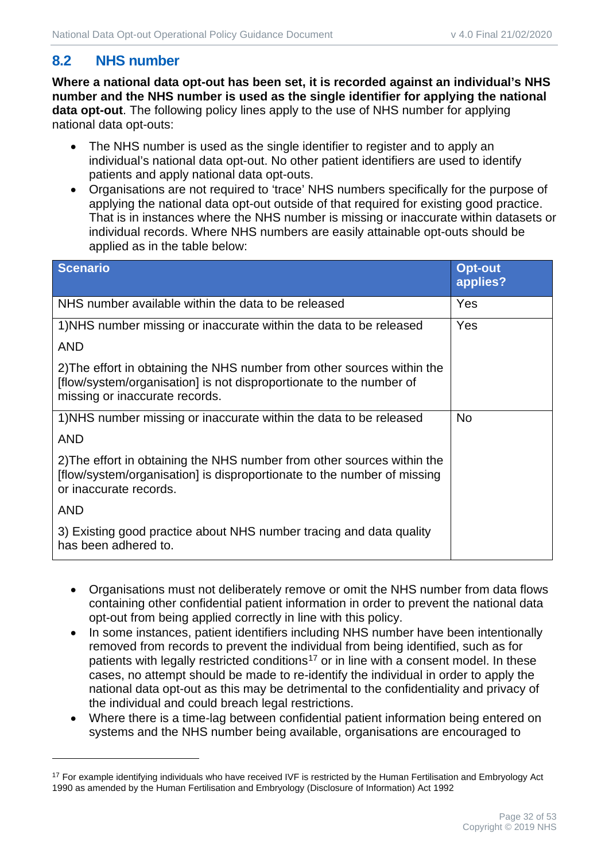# <span id="page-31-0"></span>**8.2 NHS number**

**Where a national data opt-out has been set, it is recorded against an individual's NHS number and the NHS number is used as the single identifier for applying the national data opt-out**. The following policy lines apply to the use of NHS number for applying national data opt-outs:

- The NHS number is used as the single identifier to register and to apply an individual's national data opt-out. No other patient identifiers are used to identify patients and apply national data opt-outs.
- Organisations are not required to 'trace' NHS numbers specifically for the purpose of applying the national data opt-out outside of that required for existing good practice. That is in instances where the NHS number is missing or inaccurate within datasets or individual records. Where NHS numbers are easily attainable opt-outs should be applied as in the table below:

| <b>Scenario</b>                                                                                                                                                                  | <b>Opt-out</b><br>applies? |
|----------------------------------------------------------------------------------------------------------------------------------------------------------------------------------|----------------------------|
| NHS number available within the data to be released                                                                                                                              | Yes                        |
| 1) NHS number missing or inaccurate within the data to be released                                                                                                               | Yes                        |
| <b>AND</b>                                                                                                                                                                       |                            |
| 2) The effort in obtaining the NHS number from other sources within the<br>[flow/system/organisation] is not disproportionate to the number of<br>missing or inaccurate records. |                            |
| 1) NHS number missing or inaccurate within the data to be released                                                                                                               | <b>No</b>                  |
| <b>AND</b>                                                                                                                                                                       |                            |
| 2) The effort in obtaining the NHS number from other sources within the<br>[flow/system/organisation] is disproportionate to the number of missing<br>or inaccurate records.     |                            |
| <b>AND</b>                                                                                                                                                                       |                            |
| 3) Existing good practice about NHS number tracing and data quality<br>has been adhered to.                                                                                      |                            |

- Organisations must not deliberately remove or omit the NHS number from data flows containing other confidential patient information in order to prevent the national data opt-out from being applied correctly in line with this policy.
- In some instances, patient identifiers including NHS number have been intentionally removed from records to prevent the individual from being identified, such as for patients with legally restricted conditions<sup>[17](#page-31-1)</sup> or in line with a consent model. In these cases, no attempt should be made to re-identify the individual in order to apply the national data opt-out as this may be detrimental to the confidentiality and privacy of the individual and could breach legal restrictions.
- Where there is a time-lag between confidential patient information being entered on systems and the NHS number being available, organisations are encouraged to

<span id="page-31-1"></span><sup>&</sup>lt;sup>17</sup> For example identifying individuals who have received IVF is restricted by the Human Fertilisation and Embryology Act 1990 as amended by the Human Fertilisation and Embryology (Disclosure of Information) Act 1992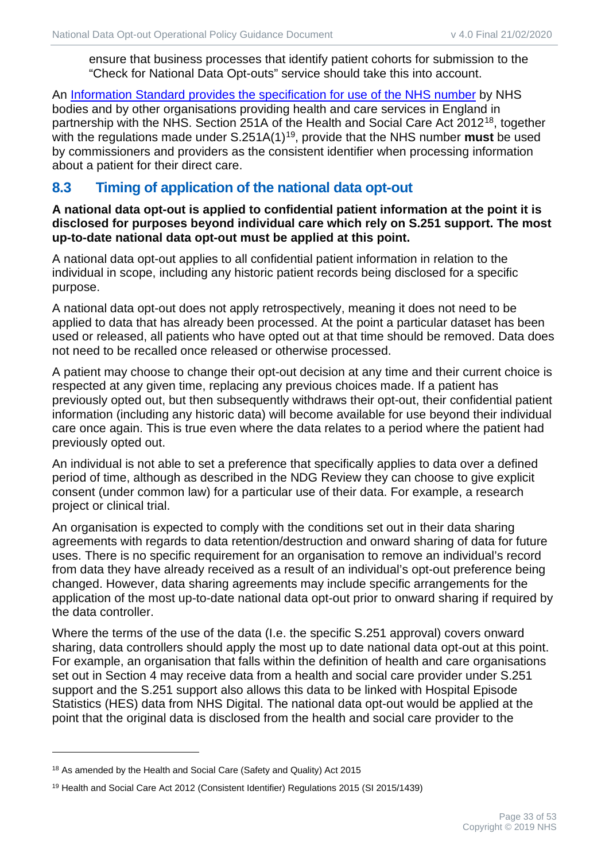ensure that business processes that identify patient cohorts for submission to the "Check for National Data Opt-outs" service should take this into account.

An [Information Standard provides the specification for use of the NHS number](http://webarchive.nationalarchives.gov.uk/+/http:/www.isb.nhs.uk/documents/isb-0149/amd-136-2010/index_html) by NHS bodies and by other organisations providing health and care services in England in partnership with the NHS. Section 251A of the Health and Social Care Act 2012<sup>18</sup>, together with the regulations made under S.251A(1)[19,](#page-32-2) provide that the NHS number **must** be used by commissioners and providers as the consistent identifier when processing information about a patient for their direct care.

## <span id="page-32-0"></span>**8.3 Timing of application of the national data opt-out**

**A national data opt-out is applied to confidential patient information at the point it is disclosed for purposes beyond individual care which rely on S.251 support. The most up-to-date national data opt-out must be applied at this point.**

A national data opt-out applies to all confidential patient information in relation to the individual in scope, including any historic patient records being disclosed for a specific purpose.

A national data opt-out does not apply retrospectively, meaning it does not need to be applied to data that has already been processed. At the point a particular dataset has been used or released, all patients who have opted out at that time should be removed. Data does not need to be recalled once released or otherwise processed.

A patient may choose to change their opt-out decision at any time and their current choice is respected at any given time, replacing any previous choices made. If a patient has previously opted out, but then subsequently withdraws their opt-out, their confidential patient information (including any historic data) will become available for use beyond their individual care once again. This is true even where the data relates to a period where the patient had previously opted out.

An individual is not able to set a preference that specifically applies to data over a defined period of time, although as described in the NDG Review they can choose to give explicit consent (under common law) for a particular use of their data. For example, a research project or clinical trial.

An organisation is expected to comply with the conditions set out in their data sharing agreements with regards to data retention/destruction and onward sharing of data for future uses. There is no specific requirement for an organisation to remove an individual's record from data they have already received as a result of an individual's opt-out preference being changed. However, data sharing agreements may include specific arrangements for the application of the most up-to-date national data opt-out prior to onward sharing if required by the data controller.

Where the terms of the use of the data (I.e. the specific S.251 approval) covers onward sharing, data controllers should apply the most up to date national data opt-out at this point. For example, an organisation that falls within the definition of health and care organisations set out in Section 4 may receive data from a health and social care provider under S.251 support and the S.251 support also allows this data to be linked with Hospital Episode Statistics (HES) data from NHS Digital. The national data opt-out would be applied at the point that the original data is disclosed from the health and social care provider to the

<span id="page-32-1"></span><sup>&</sup>lt;sup>18</sup> As amended by the Health and Social Care (Safety and Quality) Act 2015

<span id="page-32-2"></span><sup>19</sup> Health and Social Care Act 2012 (Consistent Identifier) Regulations 2015 (SI 2015/1439)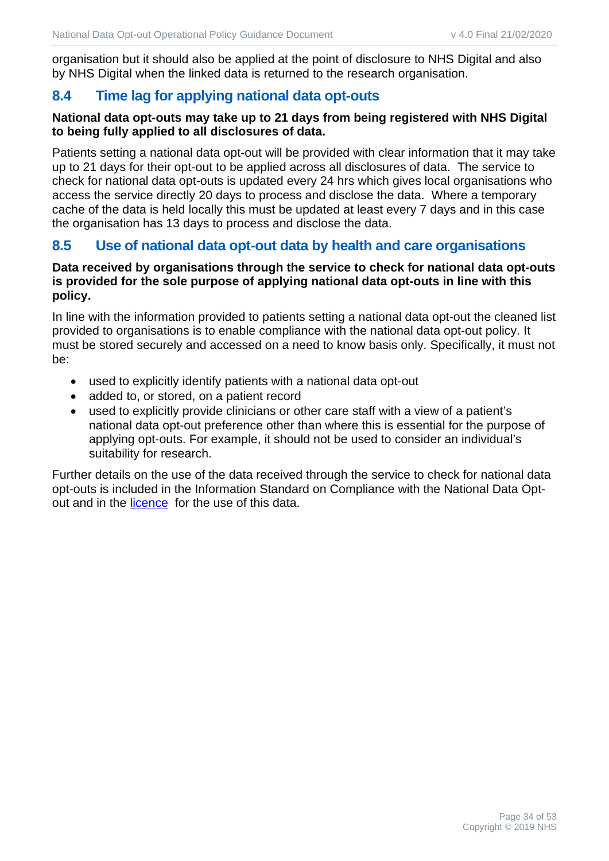organisation but it should also be applied at the point of disclosure to NHS Digital and also by NHS Digital when the linked data is returned to the research organisation.

# <span id="page-33-0"></span>**8.4 Time lag for applying national data opt-outs**

#### **National data opt-outs may take up to 21 days from being registered with NHS Digital to being fully applied to all disclosures of data.**

Patients setting a national data opt-out will be provided with clear information that it may take up to 21 days for their opt-out to be applied across all disclosures of data. The service to check for national data opt-outs is updated every 24 hrs which gives local organisations who access the service directly 20 days to process and disclose the data. Where a temporary cache of the data is held locally this must be updated at least every 7 days and in this case the organisation has 13 days to process and disclose the data.

## <span id="page-33-1"></span>**8.5 Use of national data opt-out data by health and care organisations**

#### **Data received by organisations through the service to check for national data opt-outs is provided for the sole purpose of applying national data opt-outs in line with this policy.**

In line with the information provided to patients setting a national data opt-out the cleaned list provided to organisations is to enable compliance with the national data opt-out policy. It must be stored securely and accessed on a need to know basis only. Specifically, it must not be:

- used to explicitly identify patients with a national data opt-out
- added to, or stored, on a patient record
- used to explicitly provide clinicians or other care staff with a view of a patient's national data opt-out preference other than where this is essential for the purpose of applying opt-outs. For example, it should not be used to consider an individual's suitability for research.

Further details on the use of the data received through the service to check for national data opt-outs is included in the Information Standard on Compliance with the National Data Optout and in the [licence](https://digital.nhs.uk/services/national-data-opt-out/compliance-with-the-national-data-opt-out/check-for-national-data-opt-outs-service/licence) for the use of this data.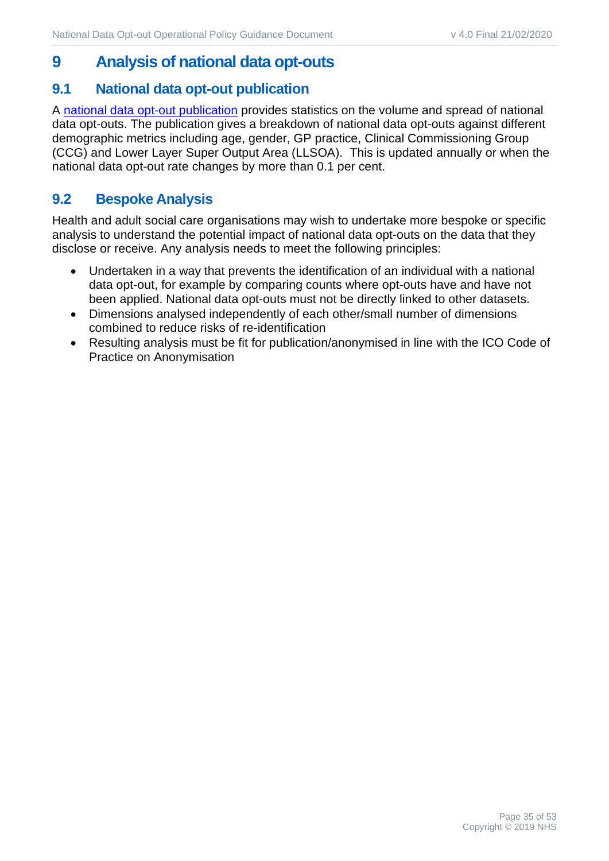# <span id="page-34-0"></span>**9 Analysis of national data opt-outs**

#### <span id="page-34-1"></span>**9.1 National data opt-out publication**

A [national data opt-out publication](https://digital.nhs.uk/data-and-information/publications/statistical/national-data-opt-out) provides statistics on the volume and spread of national data opt-outs. The publication gives a breakdown of national data opt-outs against different demographic metrics including age, gender, GP practice, Clinical Commissioning Group (CCG) and Lower Layer Super Output Area (LLSOA). This is updated annually or when the national data opt-out rate changes by more than 0.1 per cent.

## <span id="page-34-2"></span>**9.2 Bespoke Analysis**

Health and adult social care organisations may wish to undertake more bespoke or specific analysis to understand the potential impact of national data opt-outs on the data that they disclose or receive. Any analysis needs to meet the following principles:

- Undertaken in a way that prevents the identification of an individual with a national data opt-out, for example by comparing counts where opt-outs have and have not been applied. National data opt-outs must not be directly linked to other datasets.
- Dimensions analysed independently of each other/small number of dimensions combined to reduce risks of re-identification
- Resulting analysis must be fit for publication/anonymised in line with the ICO Code of Practice on Anonymisation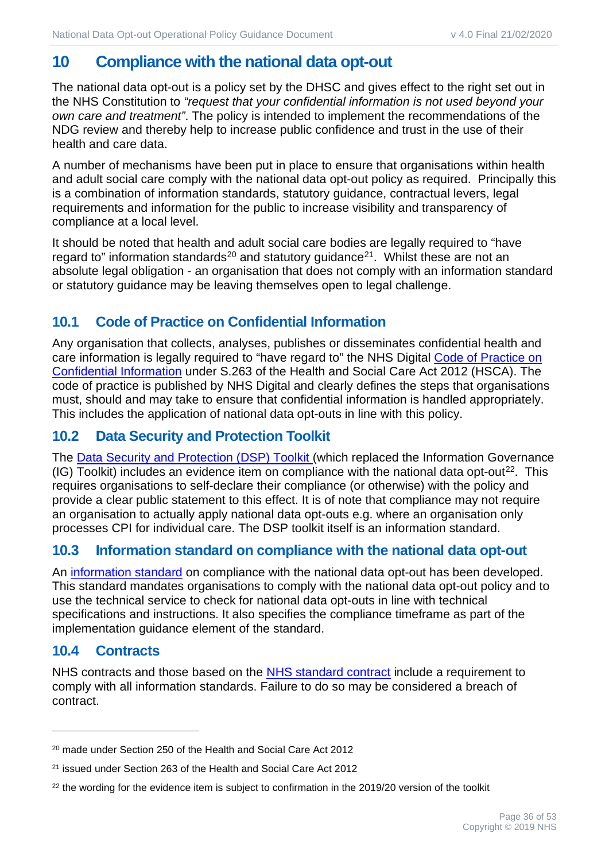# <span id="page-35-0"></span>**10 Compliance with the national data opt-out**

The national data opt-out is a policy set by the DHSC and gives effect to the right set out in the NHS Constitution to *"request that your confidential information is not used beyond your own care and treatment"*. The policy is intended to implement the recommendations of the NDG review and thereby help to increase public confidence and trust in the use of their health and care data.

A number of mechanisms have been put in place to ensure that organisations within health and adult social care comply with the national data opt-out policy as required. Principally this is a combination of information standards, statutory guidance, contractual levers, legal requirements and information for the public to increase visibility and transparency of compliance at a local level.

It should be noted that health and adult social care bodies are legally required to "have regard to" information standards<sup>[20](#page-35-5)</sup> and statutory guidance<sup>[21](#page-35-6)</sup>. Whilst these are not an absolute legal obligation - an organisation that does not comply with an information standard or statutory guidance may be leaving themselves open to legal challenge.

# <span id="page-35-1"></span>**10.1 Code of Practice on Confidential Information**

Any organisation that collects, analyses, publishes or disseminates confidential health and care information is legally required to "have regard to" the NHS Digital [Code of Practice on](https://digital.nhs.uk/data-and-information/looking-after-information/data-security-and-information-governance/codes-of-practice-for-handling-information-in-health-and-care/code-of-practice-on-confidential-information)  [Confidential Information](https://digital.nhs.uk/data-and-information/looking-after-information/data-security-and-information-governance/codes-of-practice-for-handling-information-in-health-and-care/code-of-practice-on-confidential-information) under S.263 of the Health and Social Care Act 2012 (HSCA). The code of practice is published by NHS Digital and clearly defines the steps that organisations must, should and may take to ensure that confidential information is handled appropriately. This includes the application of national data opt-outs in line with this policy.

# <span id="page-35-2"></span>**10.2 Data Security and Protection Toolkit**

The [Data Security and Protection \(DSP\) Toolkit](https://www.dsptoolkit.nhs.uk/) (which replaced the Information Governance (IG) Toolkit) includes an evidence item on compliance with the national data opt-out<sup>22</sup>. This requires organisations to self-declare their compliance (or otherwise) with the policy and provide a clear public statement to this effect. It is of note that compliance may not require an organisation to actually apply national data opt-outs e.g. where an organisation only processes CPI for individual care. The DSP toolkit itself is an information standard.

# <span id="page-35-3"></span>**10.3 Information standard on compliance with the national data opt-out**

An [information standard](https://digital.nhs.uk/data-and-information/information-standards/information-standards-and-data-collections-including-extractions/publications-and-notifications/standards-and-collections/dcb3058-compliance-with-national-data-opt-outs) on compliance with the national data opt-out has been developed. This standard mandates organisations to comply with the national data opt-out policy and to use the technical service to check for national data opt-outs in line with technical specifications and instructions. It also specifies the compliance timeframe as part of the implementation guidance element of the standard.

# <span id="page-35-4"></span>**10.4 Contracts**

NHS contracts and those based on the [NHS standard contract](https://www.england.nhs.uk/nhs-standard-contract/) include a requirement to comply with all information standards. Failure to do so may be considered a breach of contract.

<span id="page-35-5"></span><sup>20</sup> made under Section 250 of the Health and Social Care Act 2012

<span id="page-35-6"></span><sup>21</sup> issued under Section 263 of the Health and Social Care Act 2012

<span id="page-35-7"></span><sup>&</sup>lt;sup>22</sup> the wording for the evidence item is subject to confirmation in the 2019/20 version of the toolkit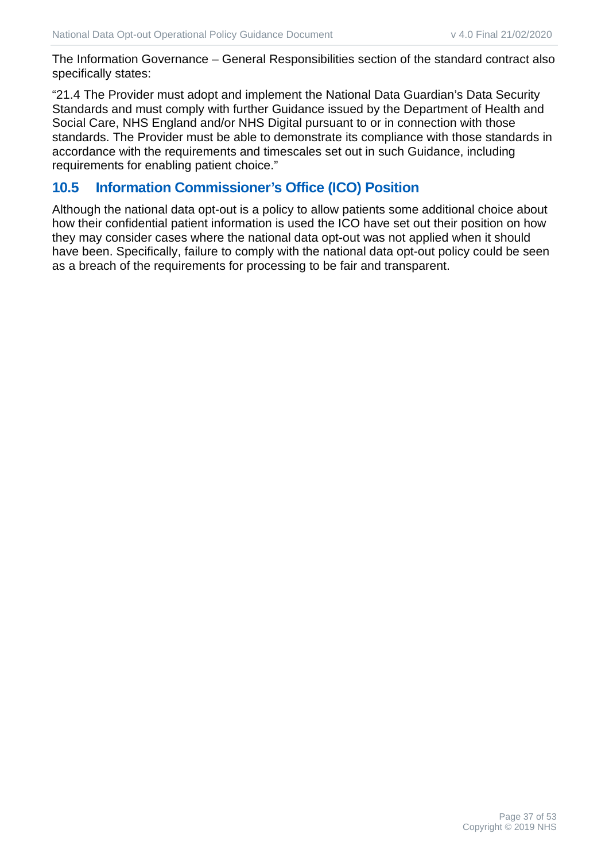The Information Governance – General Responsibilities section of the standard contract also specifically states:

"21.4 The Provider must adopt and implement the National Data Guardian's Data Security Standards and must comply with further Guidance issued by the Department of Health and Social Care, NHS England and/or NHS Digital pursuant to or in connection with those standards. The Provider must be able to demonstrate its compliance with those standards in accordance with the requirements and timescales set out in such Guidance, including requirements for enabling patient choice."

# <span id="page-36-0"></span>**10.5 Information Commissioner's Office (ICO) Position**

Although the national data opt-out is a policy to allow patients some additional choice about how their confidential patient information is used the ICO have set out their position on how they may consider cases where the national data opt-out was not applied when it should have been. Specifically, failure to comply with the national data opt-out policy could be seen as a breach of the requirements for processing to be fair and transparent.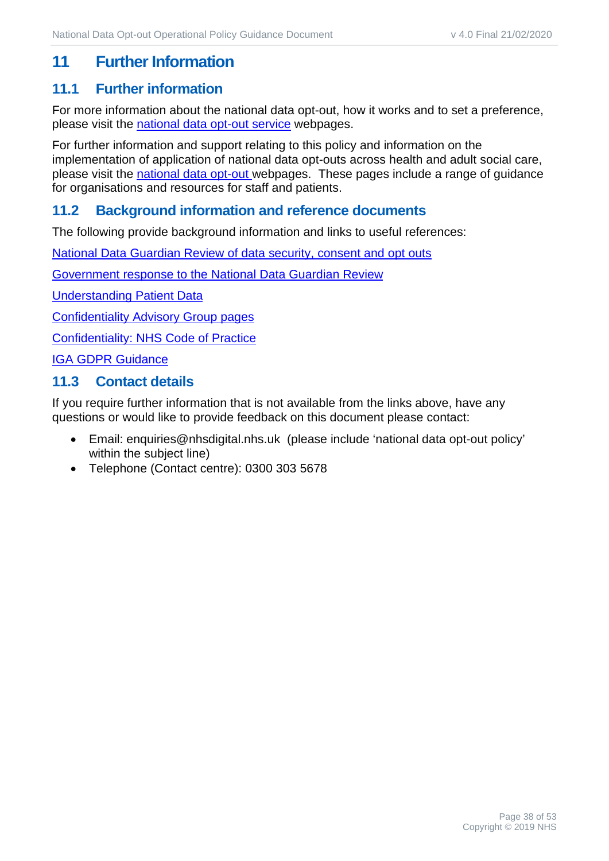# <span id="page-37-0"></span>**11 Further Information**

#### <span id="page-37-1"></span>**11.1 Further information**

For more information about the national data opt-out, how it works and to set a preference, please visit the [national data opt-out service](http://www.nhs.uk/your-nhs-data-matters) webpages.

For further information and support relating to this policy and information on the implementation of application of national data opt-outs across health and adult social care, please visit the [national data opt-out w](https://digital.nhs.uk/national-data-opt-out)ebpages. These pages include a range of guidance for organisations and resources for staff and patients.

#### <span id="page-37-2"></span>**11.2 Background information and reference documents**

The following provide background information and links to useful references:

[National Data Guardian Review of data security, consent and opt](https://www.gov.uk/government/publications/review-of-data-security-consent-and-opt-outs) outs

Government response [to the National Data Guardian Review](https://www.gov.uk/government/uploads/system/uploads/attachment_data/file/627493/Your_data_better_security_better_choice_better_care_government_response.pdf)

[Understanding Patient Data](https://understandingpatientdata.org.uk/)

[Confidentiality Advisory Group pages](https://www.hra.nhs.uk/approvals-amendments/what-approvals-do-i-need/confidentiality-advisory-group/)

[Confidentiality: NHS Code of Practice](https://www.gov.uk/government/publications/confidentiality-nhs-code-of-practice)

[IGA GDPR Guidance](https://digital.nhs.uk/data-and-information/looking-after-information/data-security-and-information-governance/information-governance-alliance-iga/general-data-protection-regulation-gdpr-guidance)

#### <span id="page-37-3"></span>**11.3 Contact details**

If you require further information that is not available from the links above, have any questions or would like to provide feedback on this document please contact:

- Email: [enquiries@nhsdigital.nhs.uk](mailto:enquiries@nhsdigital.nhs.uk) (please include 'national data opt-out policy' within the subject line)
- Telephone (Contact centre): 0300 303 5678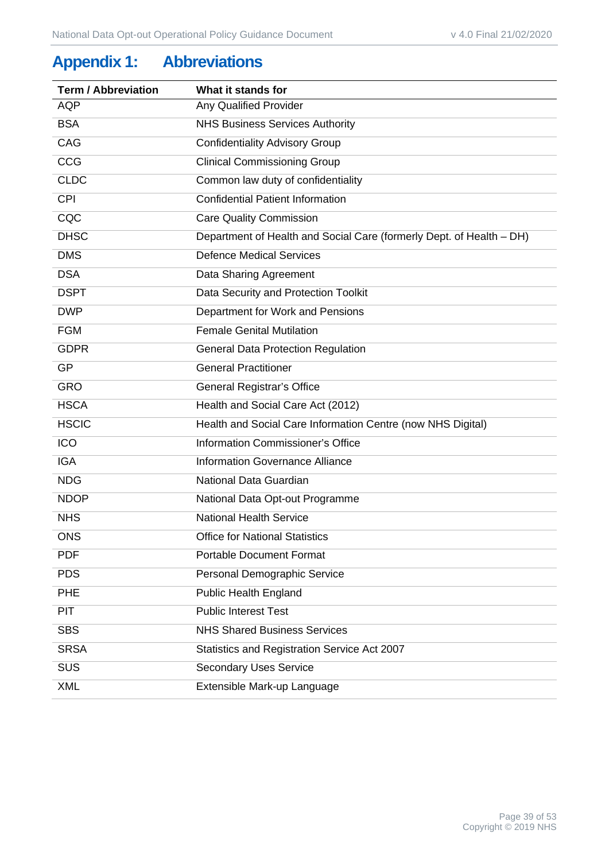# <span id="page-38-0"></span>**Appendix 1: Abbreviations**

| <b>Term / Abbreviation</b> | What it stands for                                                   |
|----------------------------|----------------------------------------------------------------------|
| <b>AQP</b>                 | <b>Any Qualified Provider</b>                                        |
| <b>BSA</b>                 | <b>NHS Business Services Authority</b>                               |
| CAG                        | <b>Confidentiality Advisory Group</b>                                |
| <b>CCG</b>                 | <b>Clinical Commissioning Group</b>                                  |
| <b>CLDC</b>                | Common law duty of confidentiality                                   |
| <b>CPI</b>                 | <b>Confidential Patient Information</b>                              |
| CQC                        | <b>Care Quality Commission</b>                                       |
| <b>DHSC</b>                | Department of Health and Social Care (formerly Dept. of Health – DH) |
| <b>DMS</b>                 | <b>Defence Medical Services</b>                                      |
| <b>DSA</b>                 | Data Sharing Agreement                                               |
| <b>DSPT</b>                | Data Security and Protection Toolkit                                 |
| <b>DWP</b>                 | Department for Work and Pensions                                     |
| <b>FGM</b>                 | <b>Female Genital Mutilation</b>                                     |
| <b>GDPR</b>                | <b>General Data Protection Regulation</b>                            |
| <b>GP</b>                  | <b>General Practitioner</b>                                          |
| <b>GRO</b>                 | General Registrar's Office                                           |
| <b>HSCA</b>                | Health and Social Care Act (2012)                                    |
| <b>HSCIC</b>               | Health and Social Care Information Centre (now NHS Digital)          |
| <b>ICO</b>                 | Information Commissioner's Office                                    |
| <b>IGA</b>                 | <b>Information Governance Alliance</b>                               |
| <b>NDG</b>                 | National Data Guardian                                               |
| <b>NDOP</b>                | National Data Opt-out Programme                                      |
| <b>NHS</b>                 | <b>National Health Service</b>                                       |
| <b>ONS</b>                 | <b>Office for National Statistics</b>                                |
| <b>PDF</b>                 | <b>Portable Document Format</b>                                      |
| <b>PDS</b>                 | Personal Demographic Service                                         |
| <b>PHE</b>                 | <b>Public Health England</b>                                         |
| <b>PIT</b>                 | <b>Public Interest Test</b>                                          |
| <b>SBS</b>                 | <b>NHS Shared Business Services</b>                                  |
| <b>SRSA</b>                | Statistics and Registration Service Act 2007                         |
| SUS                        | <b>Secondary Uses Service</b>                                        |
| <b>XML</b>                 | Extensible Mark-up Language                                          |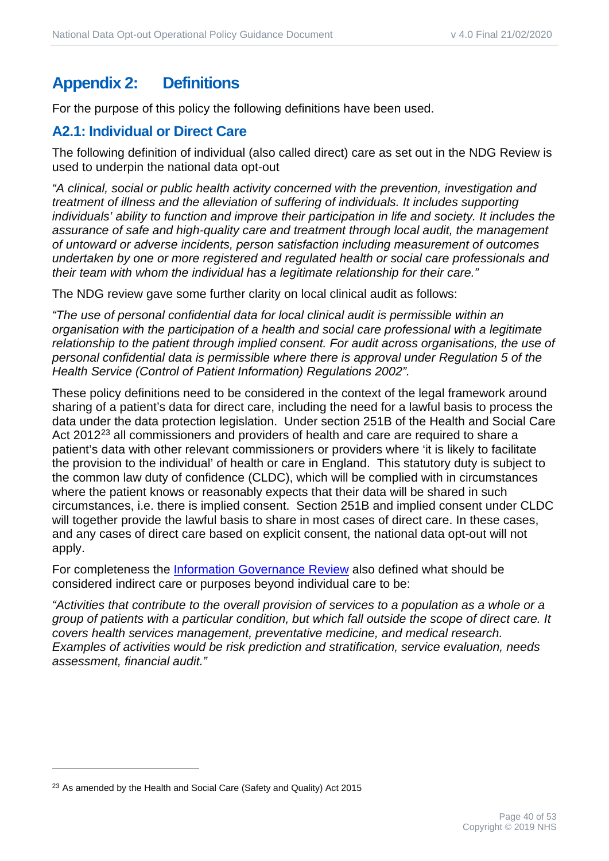# <span id="page-39-0"></span>**Appendix 2: Definitions**

For the purpose of this policy the following definitions have been used.

# <span id="page-39-1"></span>**A2.1: Individual or Direct Care**

The following definition of individual (also called direct) care as set out in the NDG Review is used to underpin the national data opt-out

*"A clinical, social or public health activity concerned with the prevention, investigation and treatment of illness and the alleviation of suffering of individuals. It includes supporting*  individuals' ability to function and improve their participation in life and society. It includes the *assurance of safe and high-quality care and treatment through local audit, the management of untoward or adverse incidents, person satisfaction including measurement of outcomes undertaken by one or more registered and regulated health or social care professionals and their team with whom the individual has a legitimate relationship for their care."*

The NDG review gave some further clarity on local clinical audit as follows:

*"The use of personal confidential data for local clinical audit is permissible within an organisation with the participation of a health and social care professional with a legitimate relationship to the patient through implied consent. For audit across organisations, the use of personal confidential data is permissible where there is approval under Regulation 5 of the Health Service (Control of Patient Information) Regulations 2002".*

These policy definitions need to be considered in the context of the legal framework around sharing of a patient's data for direct care, including the need for a lawful basis to process the data under the data protection legislation. Under section 251B of the Health and Social Care Act 2012<sup>[23](#page-39-2)</sup> all commissioners and providers of health and care are required to share a patient's data with other relevant commissioners or providers where 'it is likely to facilitate the provision to the individual' of health or care in England. This statutory duty is subject to the common law duty of confidence (CLDC), which will be complied with in circumstances where the patient knows or reasonably expects that their data will be shared in such circumstances, i.e. there is implied consent. Section 251B and implied consent under CLDC will together provide the lawful basis to share in most cases of direct care. In these cases, and any cases of direct care based on explicit consent, the national data opt-out will not apply.

For completeness the [Information Governance Review](https://assets.publishing.service.gov.uk/government/uploads/system/uploads/attachment_data/file/192572/2900774_InfoGovernance_accv2.pdf) also defined what should be considered indirect care or purposes beyond individual care to be:

*"Activities that contribute to the overall provision of services to a population as a whole or a group of patients with a particular condition, but which fall outside the scope of direct care. It covers health services management, preventative medicine, and medical research. Examples of activities would be risk prediction and stratification, service evaluation, needs assessment, financial audit."*

<span id="page-39-2"></span><sup>&</sup>lt;sup>23</sup> As amended by the Health and Social Care (Safety and Quality) Act 2015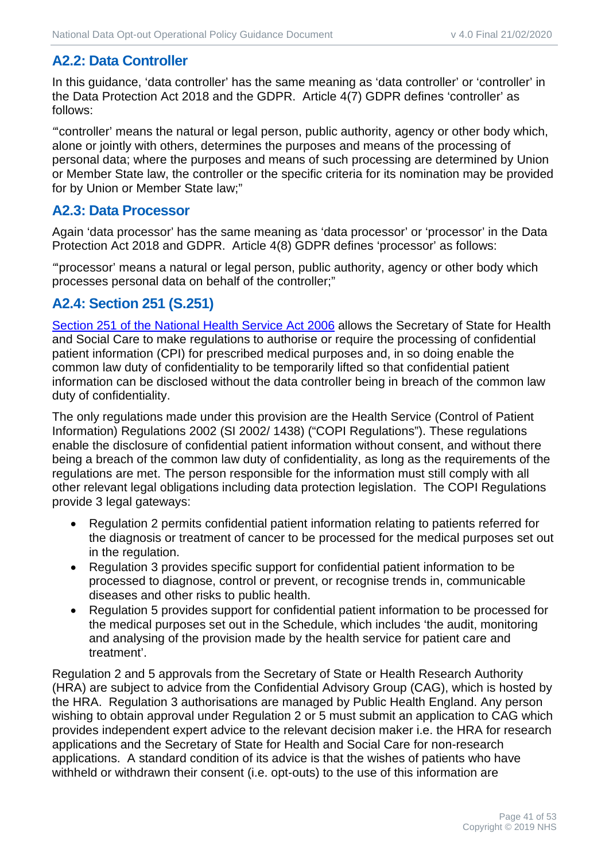# <span id="page-40-0"></span>**A2.2: Data Controller**

In this guidance, 'data controller' has the same meaning as 'data controller' or 'controller' in the Data Protection Act 2018 and the GDPR. Article 4(7) GDPR defines 'controller' as follows:

*"*'controller' means the natural or legal person, public authority, agency or other body which, alone or jointly with others, determines the purposes and means of the processing of personal data; where the purposes and means of such processing are determined by Union or Member State law, the controller or the specific criteria for its nomination may be provided for by Union or Member State law;"

#### <span id="page-40-1"></span>**A2.3: Data Processor**

Again 'data processor' has the same meaning as 'data processor' or 'processor' in the Data Protection Act 2018 and GDPR. Article 4(8) GDPR defines 'processor' as follows:

*"*'processor' means a natural or legal person, public authority, agency or other body which processes personal data on behalf of the controller;"

## <span id="page-40-2"></span>**A2.4: Section 251 (S.251)**

[Section 251 of the National Health Service Act 2006](https://www.hra.nhs.uk/documents/223/cag-frequently-asked-questions-1.pdf) allows the Secretary of State for Health and Social Care to make regulations to authorise or require the processing of confidential patient information (CPI) for prescribed medical purposes and, in so doing enable the common law duty of confidentiality to be temporarily lifted so that confidential patient information can be disclosed without the data controller being in breach of the common law duty of confidentiality.

The only regulations made under this provision are the Health Service (Control of Patient Information) Regulations 2002 (SI 2002/ 1438) ("COPI Regulations"). These regulations enable the disclosure of confidential patient information without consent, and without there being a breach of the common law duty of confidentiality, as long as the requirements of the regulations are met. The person responsible for the information must still comply with all other relevant legal obligations including data protection legislation. The COPI Regulations provide 3 legal gateways:

- Regulation 2 permits confidential patient information relating to patients referred for the diagnosis or treatment of cancer to be processed for the medical purposes set out in the regulation.
- Regulation 3 provides specific support for confidential patient information to be processed to diagnose, control or prevent, or recognise trends in, communicable diseases and other risks to public health.
- Regulation 5 provides support for confidential patient information to be processed for the medical purposes set out in the Schedule, which includes 'the audit, monitoring and analysing of the provision made by the health service for patient care and treatment'.

Regulation 2 and 5 approvals from the Secretary of State or Health Research Authority (HRA) are subject to advice from the Confidential Advisory Group (CAG), which is hosted by the HRA. Regulation 3 authorisations are managed by Public Health England. Any person wishing to obtain approval under Regulation 2 or 5 must submit an application to CAG which provides independent expert advice to the relevant decision maker i.e. the HRA for research applications and the Secretary of State for Health and Social Care for non-research applications. A standard condition of its advice is that the wishes of patients who have withheld or withdrawn their consent (i.e. opt-outs) to the use of this information are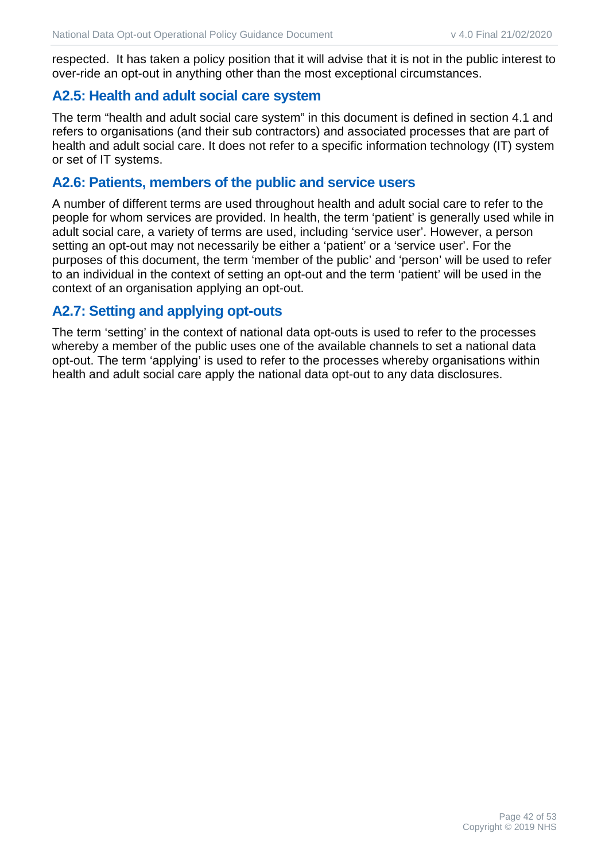respected. It has taken a policy position that it will advise that it is not in the public interest to over-ride an opt-out in anything other than the most exceptional circumstances.

#### <span id="page-41-0"></span>**A2.5: Health and adult social care system**

The term "health and adult social care system" in this document is defined in section 4.1 and refers to organisations (and their sub contractors) and associated processes that are part of health and adult social care. It does not refer to a specific information technology (IT) system or set of IT systems.

#### <span id="page-41-1"></span>**A2.6: Patients, members of the public and service users**

A number of different terms are used throughout health and adult social care to refer to the people for whom services are provided. In health, the term 'patient' is generally used while in adult social care, a variety of terms are used, including 'service user'. However, a person setting an opt-out may not necessarily be either a 'patient' or a 'service user'. For the purposes of this document, the term 'member of the public' and 'person' will be used to refer to an individual in the context of setting an opt-out and the term 'patient' will be used in the context of an organisation applying an opt-out.

#### <span id="page-41-2"></span>**A2.7: Setting and applying opt-outs**

The term 'setting' in the context of national data opt-outs is used to refer to the processes whereby a member of the public uses one of the available channels to set a national data opt-out. The term 'applying' is used to refer to the processes whereby organisations within health and adult social care apply the national data opt-out to any data disclosures.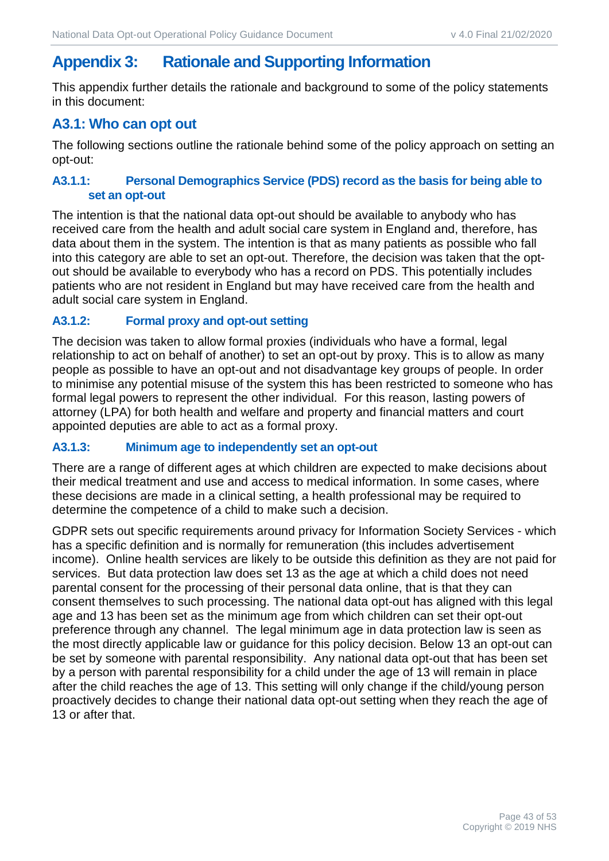# <span id="page-42-0"></span>**Appendix 3: Rationale and Supporting Information**

This appendix further details the rationale and background to some of the policy statements in this document:

#### <span id="page-42-1"></span>**A3.1: Who can opt out**

The following sections outline the rationale behind some of the policy approach on setting an opt-out:

#### **A3.1.1: Personal Demographics Service (PDS) record as the basis for being able to set an opt-out**

The intention is that the national data opt-out should be available to anybody who has received care from the health and adult social care system in England and, therefore, has data about them in the system. The intention is that as many patients as possible who fall into this category are able to set an opt-out. Therefore, the decision was taken that the optout should be available to everybody who has a record on PDS. This potentially includes patients who are not resident in England but may have received care from the health and adult social care system in England.

#### **A3.1.2: Formal proxy and opt-out setting**

The decision was taken to allow formal proxies (individuals who have a formal, legal relationship to act on behalf of another) to set an opt-out by proxy. This is to allow as many people as possible to have an opt-out and not disadvantage key groups of people. In order to minimise any potential misuse of the system this has been restricted to someone who has formal legal powers to represent the other individual. For this reason, lasting powers of attorney (LPA) for both health and welfare and property and financial matters and court appointed deputies are able to act as a formal proxy.

#### **A3.1.3: Minimum age to independently set an opt-out**

There are a range of different ages at which children are expected to make decisions about their medical treatment and use and access to medical information. In some cases, where these decisions are made in a clinical setting, a health professional may be required to determine the competence of a child to make such a decision.

GDPR sets out specific requirements around privacy for Information Society Services - which has a specific definition and is normally for remuneration (this includes advertisement income). Online health services are likely to be outside this definition as they are not paid for services. But data protection law does set 13 as the age at which a child does not need parental consent for the processing of their personal data online, that is that they can consent themselves to such processing. The national data opt-out has aligned with this legal age and 13 has been set as the minimum age from which children can set their opt-out preference through any channel. The legal minimum age in data protection law is seen as the most directly applicable law or guidance for this policy decision. Below 13 an opt-out can be set by someone with parental responsibility. Any national data opt-out that has been set by a person with parental responsibility for a child under the age of 13 will remain in place after the child reaches the age of 13. This setting will only change if the child/young person proactively decides to change their national data opt-out setting when they reach the age of 13 or after that.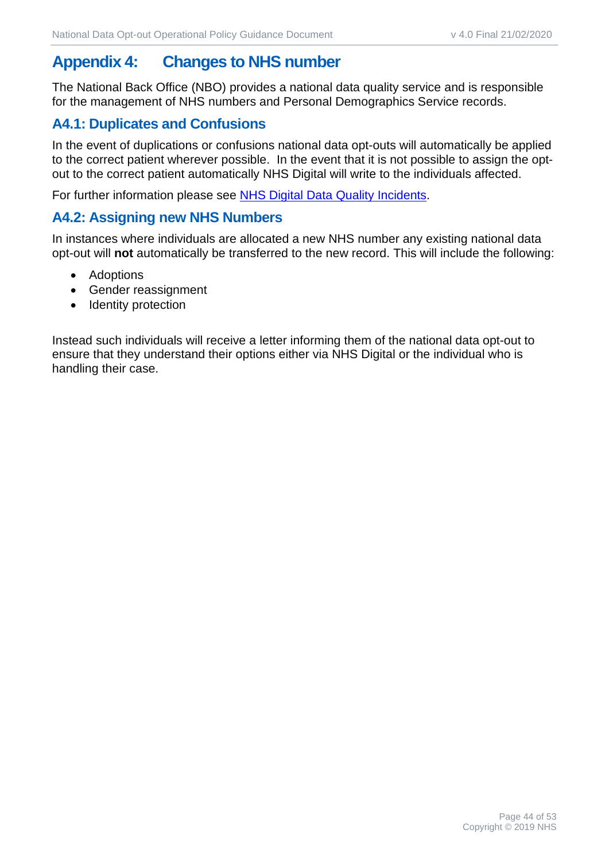# <span id="page-43-0"></span>**Appendix 4: Changes to NHS number**

The National Back Office (NBO) provides a national data quality service and is responsible for the management of NHS numbers and Personal Demographics Service records.

#### <span id="page-43-1"></span>**A4.1: Duplicates and Confusions**

In the event of duplications or confusions national data opt-outs will automatically be applied to the correct patient wherever possible. In the event that it is not possible to assign the optout to the correct patient automatically NHS Digital will write to the individuals affected.

For further information please see **NHS Digital Data Quality Incidents.** 

#### <span id="page-43-2"></span>**A4.2: Assigning new NHS Numbers**

In instances where individuals are allocated a new NHS number any existing national data opt-out will **not** automatically be transferred to the new record. This will include the following:

- Adoptions
- Gender reassignment
- Identity protection

Instead such individuals will receive a letter informing them of the national data opt-out to ensure that they understand their options either via NHS Digital or the individual who is handling their case.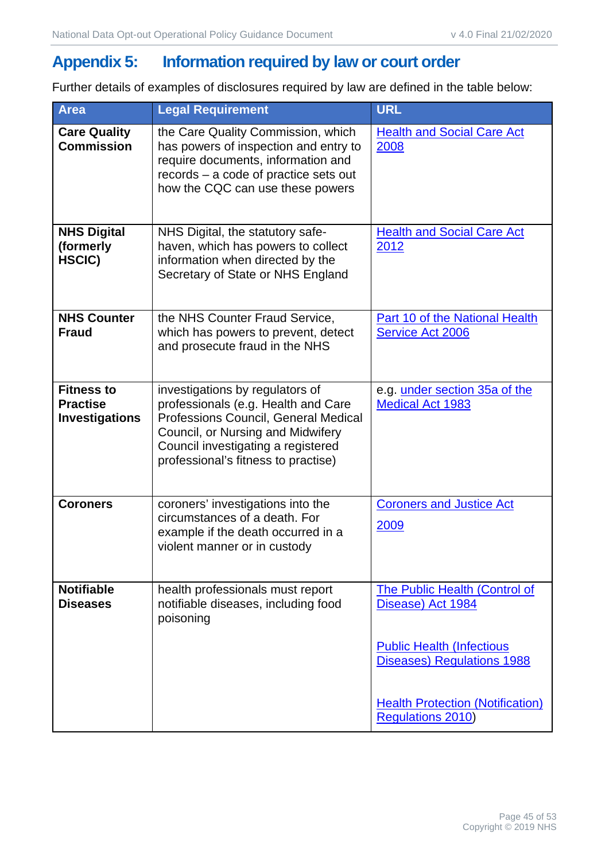# <span id="page-44-0"></span>**Appendix 5: Information required by law or court order**

Further details of examples of disclosures required by law are defined in the table below:

| <b>Area</b>                                                   | <b>Legal Requirement</b>                                                                                                                                                                                                         | <b>URL</b>                                                            |
|---------------------------------------------------------------|----------------------------------------------------------------------------------------------------------------------------------------------------------------------------------------------------------------------------------|-----------------------------------------------------------------------|
| <b>Care Quality</b><br><b>Commission</b>                      | the Care Quality Commission, which<br>has powers of inspection and entry to<br>require documents, information and<br>records – a code of practice sets out<br>how the CQC can use these powers                                   | <b>Health and Social Care Act</b><br>2008                             |
| <b>NHS Digital</b><br>(formerly<br>HSCIC)                     | NHS Digital, the statutory safe-<br>haven, which has powers to collect<br>information when directed by the<br>Secretary of State or NHS England                                                                                  | <b>Health and Social Care Act</b><br>2012                             |
| <b>NHS Counter</b><br><b>Fraud</b>                            | the NHS Counter Fraud Service,<br>which has powers to prevent, detect<br>and prosecute fraud in the NHS                                                                                                                          | <b>Part 10 of the National Health</b><br><b>Service Act 2006</b>      |
| <b>Fitness to</b><br><b>Practise</b><br><b>Investigations</b> | investigations by regulators of<br>professionals (e.g. Health and Care<br>Professions Council, General Medical<br>Council, or Nursing and Midwifery<br>Council investigating a registered<br>professional's fitness to practise) | e.g. under section 35a of the<br><b>Medical Act 1983</b>              |
| <b>Coroners</b>                                               | coroners' investigations into the<br>circumstances of a death. For<br>example if the death occurred in a<br>violent manner or in custody                                                                                         | <b>Coroners and Justice Act</b><br>2009                               |
| <b>Notifiable</b><br><b>Diseases</b>                          | health professionals must report<br>notifiable diseases, including food<br>poisoning                                                                                                                                             | The Public Health (Control of<br>Disease) Act 1984                    |
|                                                               |                                                                                                                                                                                                                                  | <b>Public Health (Infectious</b><br><b>Diseases) Regulations 1988</b> |
|                                                               |                                                                                                                                                                                                                                  | <b>Health Protection (Notification)</b><br><b>Regulations 2010)</b>   |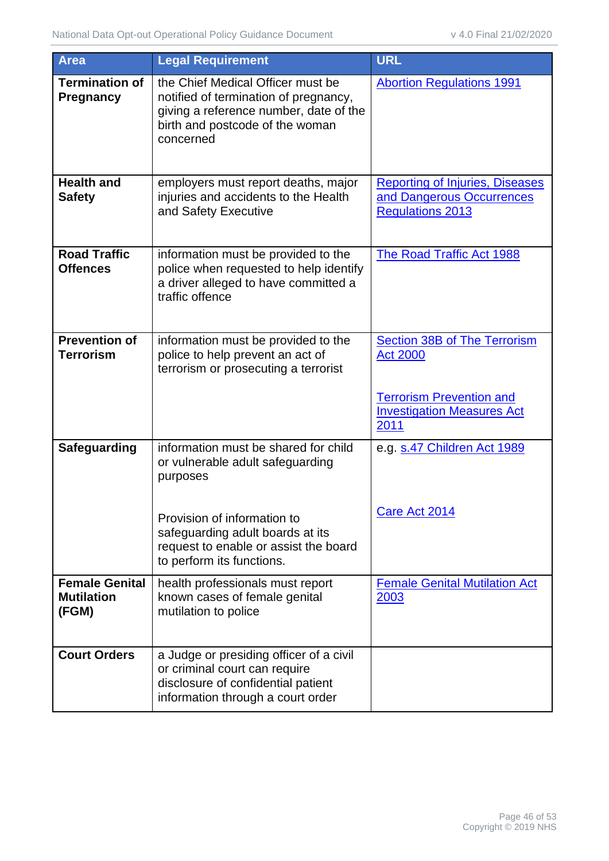| <b>Area</b>                                         | <b>Legal Requirement</b>                                                                                                                                             | <b>URL</b>                                                                                     |
|-----------------------------------------------------|----------------------------------------------------------------------------------------------------------------------------------------------------------------------|------------------------------------------------------------------------------------------------|
| <b>Termination of</b><br><b>Pregnancy</b>           | the Chief Medical Officer must be<br>notified of termination of pregnancy,<br>giving a reference number, date of the<br>birth and postcode of the woman<br>concerned | <b>Abortion Regulations 1991</b>                                                               |
| <b>Health and</b><br><b>Safety</b>                  | employers must report deaths, major<br>injuries and accidents to the Health<br>and Safety Executive                                                                  | <b>Reporting of Injuries, Diseases</b><br>and Dangerous Occurrences<br><b>Regulations 2013</b> |
| <b>Road Traffic</b><br><b>Offences</b>              | information must be provided to the<br>police when requested to help identify<br>a driver alleged to have committed a<br>traffic offence                             | <b>The Road Traffic Act 1988</b>                                                               |
| <b>Prevention of</b><br><b>Terrorism</b>            | information must be provided to the<br>police to help prevent an act of<br>terrorism or prosecuting a terrorist                                                      | <b>Section 38B of The Terrorism</b><br><b>Act 2000</b>                                         |
|                                                     |                                                                                                                                                                      | <b>Terrorism Prevention and</b><br><b>Investigation Measures Act</b><br>2011                   |
| <b>Safeguarding</b>                                 | information must be shared for child<br>or vulnerable adult safeguarding<br>purposes                                                                                 | e.g. s.47 Children Act 1989                                                                    |
|                                                     | Provision of information to<br>safeguarding adult boards at its<br>request to enable or assist the board<br>to perform its functions.                                | Care Act 2014                                                                                  |
| <b>Female Genital</b><br><b>Mutilation</b><br>(FGM) | health professionals must report<br>known cases of female genital<br>mutilation to police                                                                            | <b>Female Genital Mutilation Act</b><br>2003                                                   |
| <b>Court Orders</b>                                 | a Judge or presiding officer of a civil<br>or criminal court can require<br>disclosure of confidential patient<br>information through a court order                  |                                                                                                |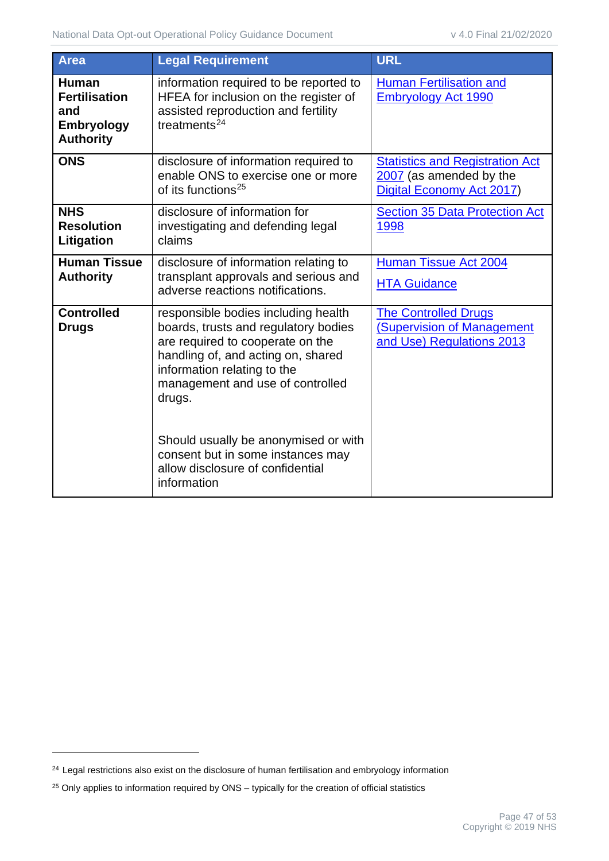| Area                                                                                 | <b>Legal Requirement</b>                                                                                                                                                                                                                                                                                                                                           | <b>URL</b>                                                                                     |
|--------------------------------------------------------------------------------------|--------------------------------------------------------------------------------------------------------------------------------------------------------------------------------------------------------------------------------------------------------------------------------------------------------------------------------------------------------------------|------------------------------------------------------------------------------------------------|
| <b>Human</b><br><b>Fertilisation</b><br>and<br><b>Embryology</b><br><b>Authority</b> | information required to be reported to<br>HFEA for inclusion on the register of<br>assisted reproduction and fertility<br>treatments $24$                                                                                                                                                                                                                          | <b>Human Fertilisation and</b><br><b>Embryology Act 1990</b>                                   |
| <b>ONS</b>                                                                           | disclosure of information required to<br>enable ONS to exercise one or more<br>of its functions <sup>25</sup>                                                                                                                                                                                                                                                      | <b>Statistics and Registration Act</b><br>2007 (as amended by the<br>Digital Economy Act 2017) |
| <b>NHS</b><br><b>Resolution</b><br>Litigation                                        | disclosure of information for<br>investigating and defending legal<br>claims                                                                                                                                                                                                                                                                                       | <b>Section 35 Data Protection Act</b><br>1998                                                  |
| <b>Human Tissue</b><br><b>Authority</b>                                              | disclosure of information relating to<br>transplant approvals and serious and<br>adverse reactions notifications.                                                                                                                                                                                                                                                  | <b>Human Tissue Act 2004</b><br><b>HTA Guidance</b>                                            |
| <b>Controlled</b><br><b>Drugs</b>                                                    | responsible bodies including health<br>boards, trusts and regulatory bodies<br>are required to cooperate on the<br>handling of, and acting on, shared<br>information relating to the<br>management and use of controlled<br>drugs.<br>Should usually be anonymised or with<br>consent but in some instances may<br>allow disclosure of confidential<br>information | <b>The Controlled Drugs</b><br><b>(Supervision of Management</b><br>and Use) Regulations 2013  |

<span id="page-46-0"></span><sup>&</sup>lt;sup>24</sup> Legal restrictions also exist on the disclosure of human fertilisation and embryology information

<span id="page-46-1"></span><sup>&</sup>lt;sup>25</sup> Only applies to information required by ONS – typically for the creation of official statistics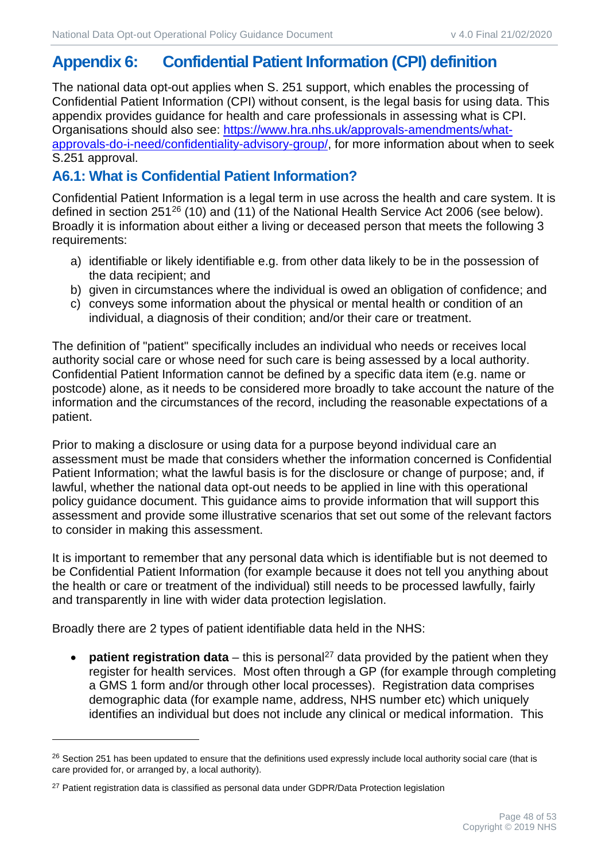# <span id="page-47-0"></span>**Appendix 6: Confidential Patient Information (CPI) definition**

The national data opt-out applies when S. 251 support, which enables the processing of Confidential Patient Information (CPI) without consent, is the legal basis for using data. This appendix provides guidance for health and care professionals in assessing what is CPI. Organisations should also see: [https://www.hra.nhs.uk/approvals-amendments/what](https://www.hra.nhs.uk/approvals-amendments/what-approvals-do-i-need/confidentiality-advisory-group/)[approvals-do-i-need/confidentiality-advisory-group/,](https://www.hra.nhs.uk/approvals-amendments/what-approvals-do-i-need/confidentiality-advisory-group/) for more information about when to seek S.251 approval.

## <span id="page-47-1"></span>**A6.1: What is Confidential Patient Information?**

Confidential Patient Information is a legal term in use across the health and care system. It is defined in section 251<sup>[26](#page-47-2)</sup> (10) and (11) of the National Health Service Act 2006 (see below). Broadly it is information about either a living or deceased person that meets the following 3 requirements:

- a) identifiable or likely identifiable e.g. from other data likely to be in the possession of the data recipient; and
- b) given in circumstances where the individual is owed an obligation of confidence; and
- c) conveys some information about the physical or mental health or condition of an individual, a diagnosis of their condition; and/or their care or treatment.

The definition of "patient" specifically includes an individual who needs or receives local authority social care or whose need for such care is being assessed by a local authority. Confidential Patient Information cannot be defined by a specific data item (e.g. name or postcode) alone, as it needs to be considered more broadly to take account the nature of the information and the circumstances of the record, including the reasonable expectations of a patient.

Prior to making a disclosure or using data for a purpose beyond individual care an assessment must be made that considers whether the information concerned is Confidential Patient Information; what the lawful basis is for the disclosure or change of purpose; and, if lawful, whether the national data opt-out needs to be applied in line with this operational policy guidance document. This guidance aims to provide information that will support this assessment and provide some illustrative scenarios that set out some of the relevant factors to consider in making this assessment.

It is important to remember that any personal data which is identifiable but is not deemed to be Confidential Patient Information (for example because it does not tell you anything about the health or care or treatment of the individual) still needs to be processed lawfully, fairly and transparently in line with wider data protection legislation.

Broadly there are 2 types of patient identifiable data held in the NHS:

**patient registration data** – this is personal<sup>[27](#page-47-3)</sup> data provided by the patient when they register for health services. Most often through a GP (for example through completing a GMS 1 form and/or through other local processes). Registration data comprises demographic data (for example name, address, NHS number etc) which uniquely identifies an individual but does not include any clinical or medical information. This

<span id="page-47-2"></span><sup>&</sup>lt;sup>26</sup> Section 251 has been updated to ensure that the definitions used expressly include local authority social care (that is care provided for, or arranged by, a local authority).

<span id="page-47-3"></span><sup>&</sup>lt;sup>27</sup> Patient registration data is classified as personal data under GDPR/Data Protection legislation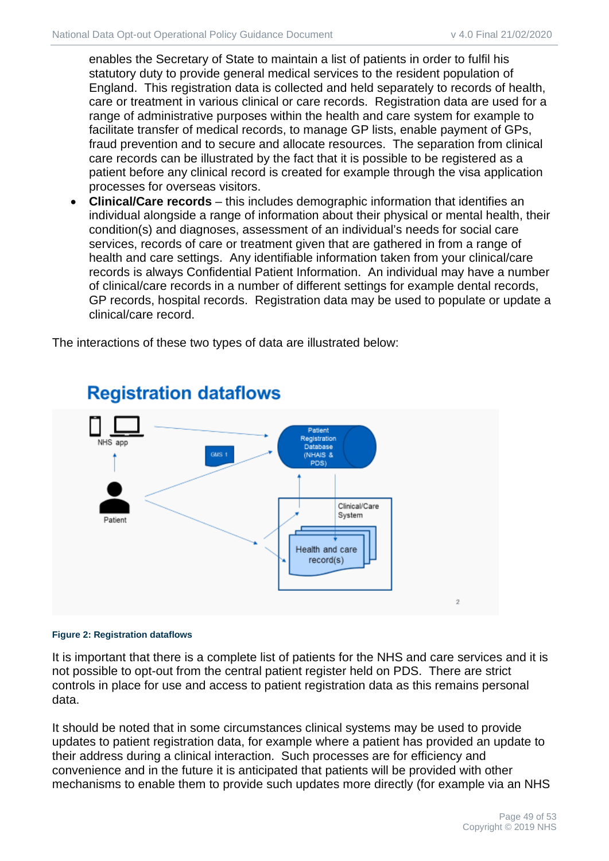enables the Secretary of State to maintain a list of patients in order to fulfil his statutory duty to provide general medical services to the resident population of England. This registration data is collected and held separately to records of health, care or treatment in various clinical or care records. Registration data are used for a range of administrative purposes within the health and care system for example to facilitate transfer of medical records, to manage GP lists, enable payment of GPs, fraud prevention and to secure and allocate resources. The separation from clinical care records can be illustrated by the fact that it is possible to be registered as a patient before any clinical record is created for example through the visa application processes for overseas visitors.

• **Clinical/Care records** – this includes demographic information that identifies an individual alongside a range of information about their physical or mental health, their condition(s) and diagnoses, assessment of an individual's needs for social care services, records of care or treatment given that are gathered in from a range of health and care settings. Any identifiable information taken from your clinical/care records is always Confidential Patient Information. An individual may have a number of clinical/care records in a number of different settings for example dental records, GP records, hospital records. Registration data may be used to populate or update a clinical/care record.

The interactions of these two types of data are illustrated below:



# **Registration dataflows**

#### **Figure 2: Registration dataflows**

It is important that there is a complete list of patients for the NHS and care services and it is not possible to opt-out from the central patient register held on PDS. There are strict controls in place for use and access to patient registration data as this remains personal data.

It should be noted that in some circumstances clinical systems may be used to provide updates to patient registration data, for example where a patient has provided an update to their address during a clinical interaction. Such processes are for efficiency and convenience and in the future it is anticipated that patients will be provided with other mechanisms to enable them to provide such updates more directly (for example via an NHS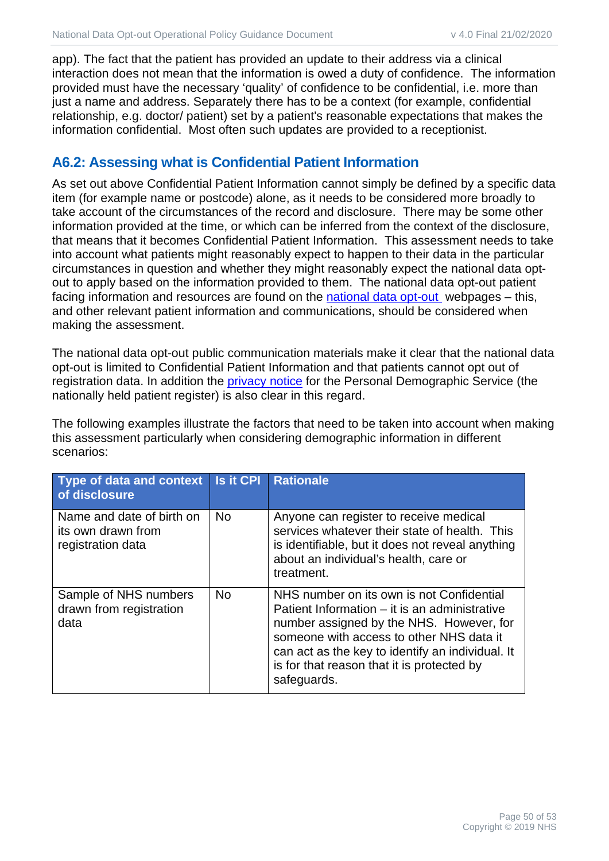app). The fact that the patient has provided an update to their address via a clinical interaction does not mean that the information is owed a duty of confidence. The information provided must have the necessary 'quality' of confidence to be confidential, i.e. more than just a name and address. Separately there has to be a context (for example, confidential relationship, e.g. doctor/ patient) set by a patient's reasonable expectations that makes the information confidential. Most often such updates are provided to a receptionist.

#### <span id="page-49-0"></span>**A6.2: Assessing what is Confidential Patient Information**

As set out above Confidential Patient Information cannot simply be defined by a specific data item (for example name or postcode) alone, as it needs to be considered more broadly to take account of the circumstances of the record and disclosure. There may be some other information provided at the time, or which can be inferred from the context of the disclosure, that means that it becomes Confidential Patient Information. This assessment needs to take into account what patients might reasonably expect to happen to their data in the particular circumstances in question and whether they might reasonably expect the national data optout to apply based on the information provided to them. The national data opt-out patient facing information and resources are found on the [national data opt-out](https://digital.nhs.uk/national-data-opt-out) webpages – this, and other relevant patient information and communications, should be considered when making the assessment.

The national data opt-out public communication materials make it clear that the national data opt-out is limited to Confidential Patient Information and that patients cannot opt out of registration data. In addition the [privacy notice](https://digital.nhs.uk/demographics/personal-demographics-service-fair-processing) for the Personal Demographic Service (the nationally held patient register) is also clear in this regard.

The following examples illustrate the factors that need to be taken into account when making this assessment particularly when considering demographic information in different scenarios:

| Type of data and context<br>of disclosure                            | <b>Is it CPI</b> | <b>Rationale</b>                                                                                                                                                                                                                                                                                    |
|----------------------------------------------------------------------|------------------|-----------------------------------------------------------------------------------------------------------------------------------------------------------------------------------------------------------------------------------------------------------------------------------------------------|
| Name and date of birth on<br>its own drawn from<br>registration data | <b>No</b>        | Anyone can register to receive medical<br>services whatever their state of health. This<br>is identifiable, but it does not reveal anything<br>about an individual's health, care or<br>treatment.                                                                                                  |
| Sample of NHS numbers<br>drawn from registration<br>data             | <b>No</b>        | NHS number on its own is not Confidential<br>Patient Information – it is an administrative<br>number assigned by the NHS. However, for<br>someone with access to other NHS data it<br>can act as the key to identify an individual. It<br>is for that reason that it is protected by<br>safeguards. |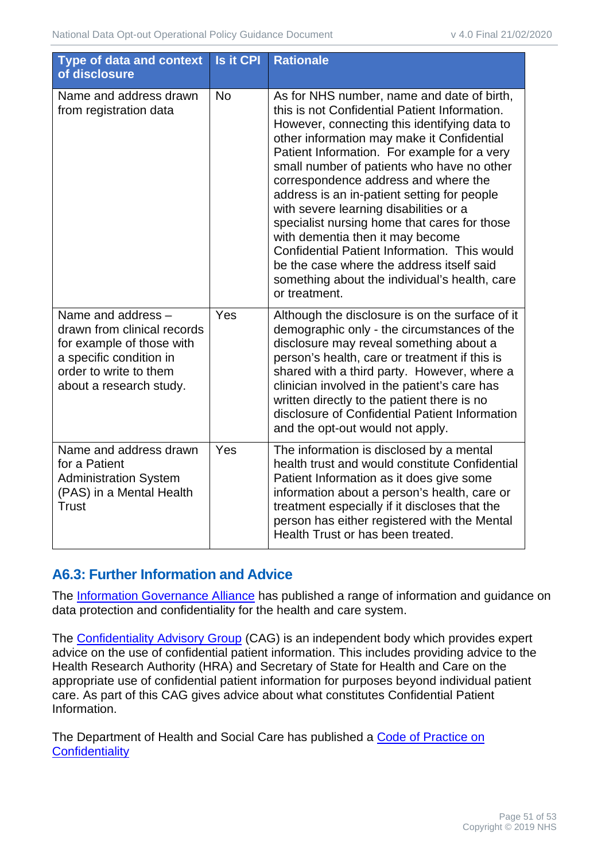| <b>Type of data and context</b><br>of disclosure                                                                                                               | <b>Is it CPI</b> | <b>Rationale</b>                                                                                                                                                                                                                                                                                                                                                                                                                                                                                                                                                                                                                                                           |
|----------------------------------------------------------------------------------------------------------------------------------------------------------------|------------------|----------------------------------------------------------------------------------------------------------------------------------------------------------------------------------------------------------------------------------------------------------------------------------------------------------------------------------------------------------------------------------------------------------------------------------------------------------------------------------------------------------------------------------------------------------------------------------------------------------------------------------------------------------------------------|
| Name and address drawn<br>from registration data                                                                                                               | <b>No</b>        | As for NHS number, name and date of birth,<br>this is not Confidential Patient Information.<br>However, connecting this identifying data to<br>other information may make it Confidential<br>Patient Information. For example for a very<br>small number of patients who have no other<br>correspondence address and where the<br>address is an in-patient setting for people<br>with severe learning disabilities or a<br>specialist nursing home that cares for those<br>with dementia then it may become<br>Confidential Patient Information. This would<br>be the case where the address itself said<br>something about the individual's health, care<br>or treatment. |
| Name and address -<br>drawn from clinical records<br>for example of those with<br>a specific condition in<br>order to write to them<br>about a research study. | Yes              | Although the disclosure is on the surface of it<br>demographic only - the circumstances of the<br>disclosure may reveal something about a<br>person's health, care or treatment if this is<br>shared with a third party. However, where a<br>clinician involved in the patient's care has<br>written directly to the patient there is no<br>disclosure of Confidential Patient Information<br>and the opt-out would not apply.                                                                                                                                                                                                                                             |
| Name and address drawn<br>for a Patient<br><b>Administration System</b><br>(PAS) in a Mental Health<br><b>Trust</b>                                            | Yes              | The information is disclosed by a mental<br>health trust and would constitute Confidential<br>Patient Information as it does give some<br>information about a person's health, care or<br>treatment especially if it discloses that the<br>person has either registered with the Mental<br>Health Trust or has been treated.                                                                                                                                                                                                                                                                                                                                               |

#### <span id="page-50-0"></span>**A6.3: Further Information and Advice**

The [Information Governance Alliance](https://digital.nhs.uk/information-governance-alliance) has published a range of information and guidance on data protection and confidentiality for the health and care system.

The [Confidentiality Advisory Group](https://www.hra.nhs.uk/approvals-amendments/what-approvals-do-i-need/confidentiality-advisory-group/) (CAG) is an independent body which provides expert advice on the use of confidential patient information. This includes providing advice to the Health Research Authority (HRA) and Secretary of State for Health and Care on the appropriate use of confidential patient information for purposes beyond individual patient care. As part of this CAG gives advice about what constitutes Confidential Patient Information.

The Department of Health and Social Care has published a [Code of Practice on](https://www.gov.uk/government/publications/confidentiality-nhs-code-of-practice)  **[Confidentiality](https://www.gov.uk/government/publications/confidentiality-nhs-code-of-practice)**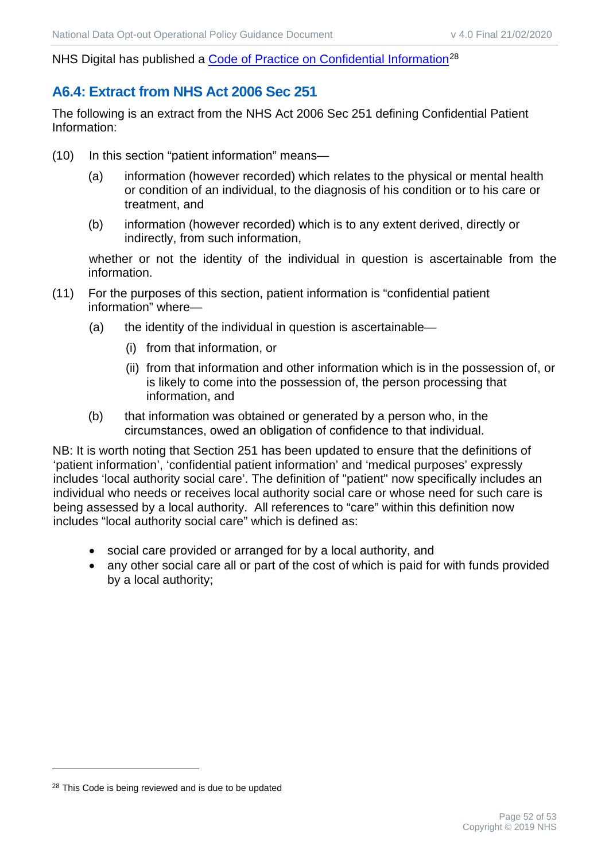NHS Digital has published a [Code of Practice on Confidential Information](https://digital.nhs.uk/codes-of-practice-handling-information/confidential-information)<sup>[28](#page-51-1)</sup>

# <span id="page-51-0"></span>**A6.4: Extract from NHS Act 2006 Sec 251**

The following is an extract from the NHS Act 2006 Sec 251 defining Confidential Patient Information:

- (10) In this section "patient information" means—
	- (a) information (however recorded) which relates to the physical or mental health or condition of an individual, to the diagnosis of his condition or to his care or treatment, and
	- (b) information (however recorded) which is to any extent derived, directly or indirectly, from such information,

whether or not the identity of the individual in question is ascertainable from the information.

- (11) For the purposes of this section, patient information is "confidential patient information" where—
	- (a) the identity of the individual in question is ascertainable—
		- (i) from that information, or
		- (ii) from that information and other information which is in the possession of, or is likely to come into the possession of, the person processing that information, and
	- (b) that information was obtained or generated by a person who, in the circumstances, owed an obligation of confidence to that individual.

NB: It is worth noting that Section 251 has been updated to ensure that the definitions of 'patient information', 'confidential patient information' and 'medical purposes' expressly includes 'local authority social care'. The definition of "patient" now specifically includes an individual who needs or receives local authority social care or whose need for such care is being assessed by a local authority. All references to "care" within this definition now includes "local authority social care" which is defined as:

- social care provided or arranged for by a local authority, and
- any other social care all or part of the cost of which is paid for with funds provided by a local authority;

<span id="page-51-1"></span><sup>&</sup>lt;sup>28</sup> This Code is being reviewed and is due to be updated